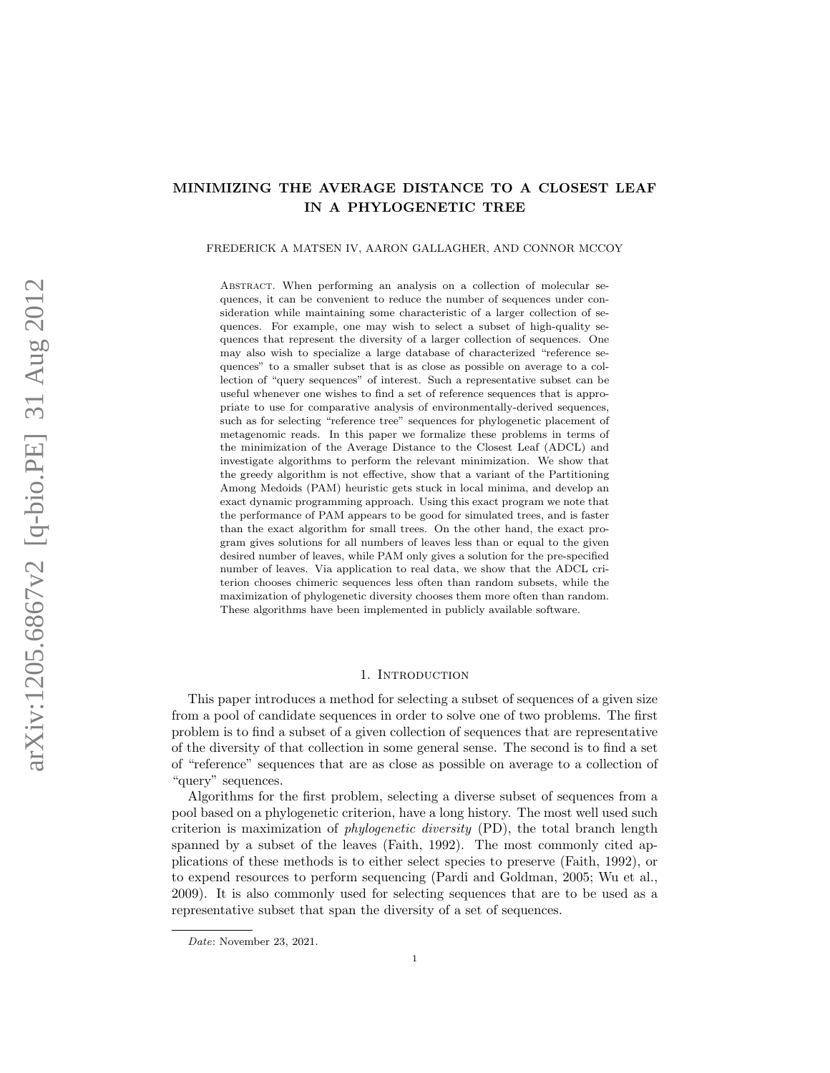# MINIMIZING THE AVERAGE DISTANCE TO A CLOSEST LEAF IN A PHYLOGENETIC TREE

#### FREDERICK A MATSEN IV, AARON GALLAGHER, AND CONNOR MCCOY

Abstract. When performing an analysis on a collection of molecular sequences, it can be convenient to reduce the number of sequences under consideration while maintaining some characteristic of a larger collection of sequences. For example, one may wish to select a subset of high-quality sequences that represent the diversity of a larger collection of sequences. One may also wish to specialize a large database of characterized "reference sequences" to a smaller subset that is as close as possible on average to a collection of "query sequences" of interest. Such a representative subset can be useful whenever one wishes to find a set of reference sequences that is appropriate to use for comparative analysis of environmentally-derived sequences, such as for selecting "reference tree" sequences for phylogenetic placement of metagenomic reads. In this paper we formalize these problems in terms of the minimization of the Average Distance to the Closest Leaf (ADCL) and investigate algorithms to perform the relevant minimization. We show that the greedy algorithm is not effective, show that a variant of the Partitioning Among Medoids (PAM) heuristic gets stuck in local minima, and develop an exact dynamic programming approach. Using this exact program we note that the performance of PAM appears to be good for simulated trees, and is faster than the exact algorithm for small trees. On the other hand, the exact program gives solutions for all numbers of leaves less than or equal to the given desired number of leaves, while PAM only gives a solution for the pre-specified number of leaves. Via application to real data, we show that the ADCL criterion chooses chimeric sequences less often than random subsets, while the maximization of phylogenetic diversity chooses them more often than random. These algorithms have been implemented in publicly available software.

## 1. INTRODUCTION

This paper introduces a method for selecting a subset of sequences of a given size from a pool of candidate sequences in order to solve one of two problems. The first problem is to find a subset of a given collection of sequences that are representative of the diversity of that collection in some general sense. The second is to find a set of "reference" sequences that are as close as possible on average to a collection of "query" sequences.

Algorithms for the first problem, selecting a diverse subset of sequences from a pool based on a phylogenetic criterion, have a long history. The most well used such criterion is maximization of phylogenetic diversity (PD), the total branch length spanned by a subset of the leaves (Faith, 1992). The most commonly cited applications of these methods is to either select species to preserve (Faith, 1992), or to expend resources to perform sequencing (Pardi and Goldman, 2005; Wu et al., 2009). It is also commonly used for selecting sequences that are to be used as a representative subset that span the diversity of a set of sequences.

Date: November 23, 2021.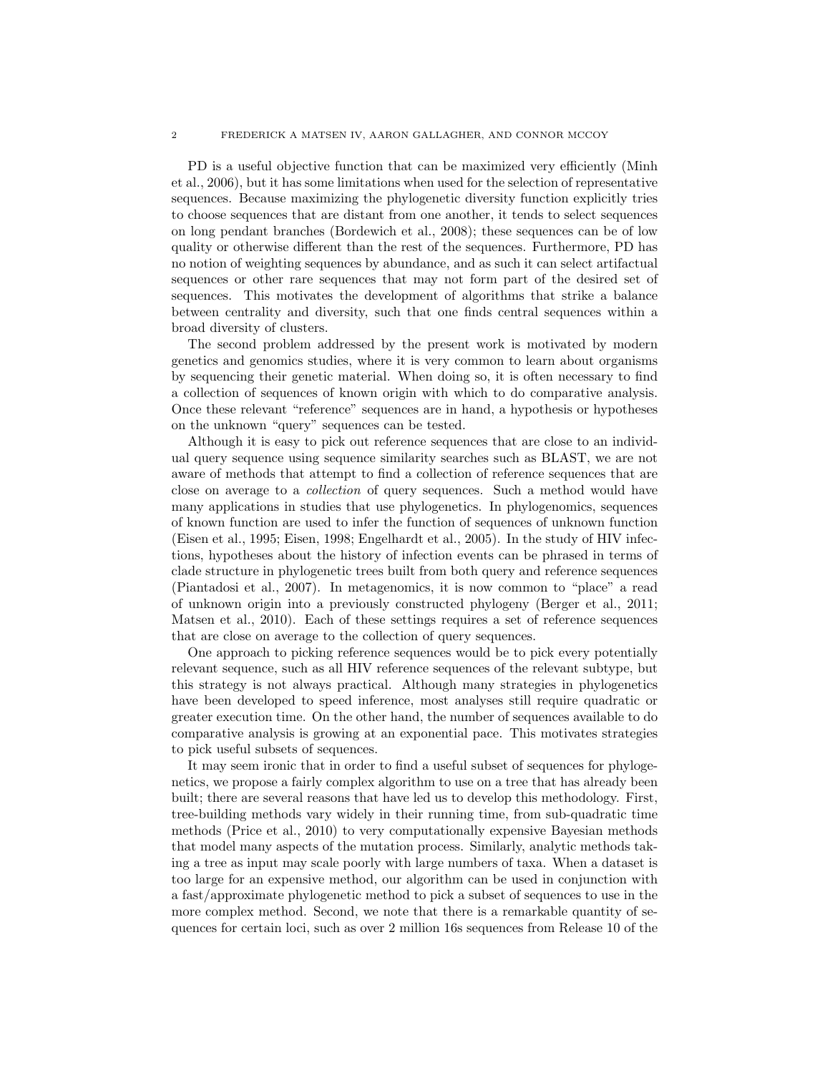PD is a useful objective function that can be maximized very efficiently (Minh et al., 2006), but it has some limitations when used for the selection of representative sequences. Because maximizing the phylogenetic diversity function explicitly tries to choose sequences that are distant from one another, it tends to select sequences on long pendant branches (Bordewich et al., 2008); these sequences can be of low quality or otherwise different than the rest of the sequences. Furthermore, PD has no notion of weighting sequences by abundance, and as such it can select artifactual sequences or other rare sequences that may not form part of the desired set of sequences. This motivates the development of algorithms that strike a balance between centrality and diversity, such that one finds central sequences within a broad diversity of clusters.

The second problem addressed by the present work is motivated by modern genetics and genomics studies, where it is very common to learn about organisms by sequencing their genetic material. When doing so, it is often necessary to find a collection of sequences of known origin with which to do comparative analysis. Once these relevant "reference" sequences are in hand, a hypothesis or hypotheses on the unknown "query" sequences can be tested.

Although it is easy to pick out reference sequences that are close to an individual query sequence using sequence similarity searches such as BLAST, we are not aware of methods that attempt to find a collection of reference sequences that are close on average to a collection of query sequences. Such a method would have many applications in studies that use phylogenetics. In phylogenomics, sequences of known function are used to infer the function of sequences of unknown function (Eisen et al., 1995; Eisen, 1998; Engelhardt et al., 2005). In the study of HIV infections, hypotheses about the history of infection events can be phrased in terms of clade structure in phylogenetic trees built from both query and reference sequences (Piantadosi et al., 2007). In metagenomics, it is now common to "place" a read of unknown origin into a previously constructed phylogeny (Berger et al., 2011; Matsen et al., 2010). Each of these settings requires a set of reference sequences that are close on average to the collection of query sequences.

One approach to picking reference sequences would be to pick every potentially relevant sequence, such as all HIV reference sequences of the relevant subtype, but this strategy is not always practical. Although many strategies in phylogenetics have been developed to speed inference, most analyses still require quadratic or greater execution time. On the other hand, the number of sequences available to do comparative analysis is growing at an exponential pace. This motivates strategies to pick useful subsets of sequences.

It may seem ironic that in order to find a useful subset of sequences for phylogenetics, we propose a fairly complex algorithm to use on a tree that has already been built; there are several reasons that have led us to develop this methodology. First, tree-building methods vary widely in their running time, from sub-quadratic time methods (Price et al., 2010) to very computationally expensive Bayesian methods that model many aspects of the mutation process. Similarly, analytic methods taking a tree as input may scale poorly with large numbers of taxa. When a dataset is too large for an expensive method, our algorithm can be used in conjunction with a fast/approximate phylogenetic method to pick a subset of sequences to use in the more complex method. Second, we note that there is a remarkable quantity of sequences for certain loci, such as over 2 million 16s sequences from Release 10 of the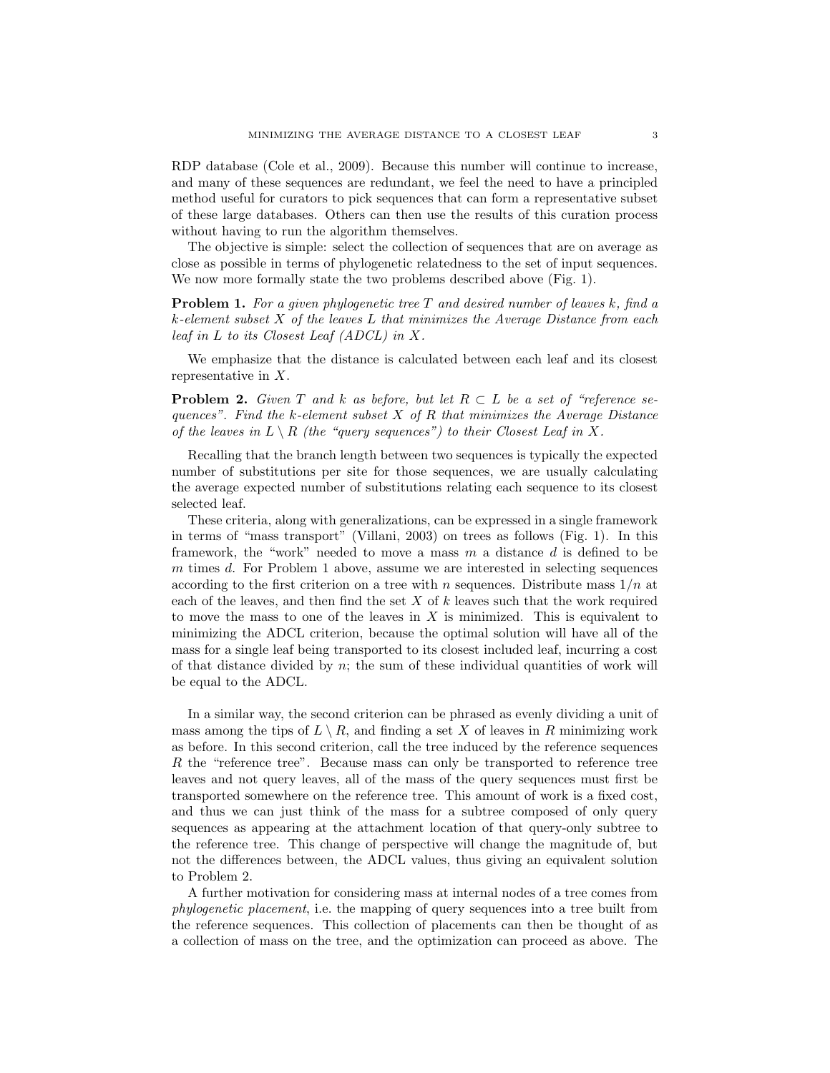RDP database (Cole et al., 2009). Because this number will continue to increase, and many of these sequences are redundant, we feel the need to have a principled method useful for curators to pick sequences that can form a representative subset of these large databases. Others can then use the results of this curation process without having to run the algorithm themselves.

The objective is simple: select the collection of sequences that are on average as close as possible in terms of phylogenetic relatedness to the set of input sequences. We now more formally state the two problems described above (Fig. 1).

**Problem 1.** For a given phylogenetic tree T and desired number of leaves k, find a  $k$ -element subset X of the leaves L that minimizes the Average Distance from each leaf in  $L$  to its Closest Leaf (ADCL) in  $X$ .

We emphasize that the distance is calculated between each leaf and its closest representative in X.

**Problem 2.** Given T and k as before, but let  $R \subset L$  be a set of "reference sequences". Find the k-element subset  $X$  of  $R$  that minimizes the Average Distance of the leaves in  $L \setminus R$  (the "query sequences") to their Closest Leaf in X.

Recalling that the branch length between two sequences is typically the expected number of substitutions per site for those sequences, we are usually calculating the average expected number of substitutions relating each sequence to its closest selected leaf.

These criteria, along with generalizations, can be expressed in a single framework in terms of "mass transport" (Villani, 2003) on trees as follows (Fig. 1). In this framework, the "work" needed to move a mass  $m$  a distance  $d$  is defined to be m times d. For Problem 1 above, assume we are interested in selecting sequences according to the first criterion on a tree with n sequences. Distribute mass  $1/n$  at each of the leaves, and then find the set  $X$  of  $k$  leaves such that the work required to move the mass to one of the leaves in  $X$  is minimized. This is equivalent to minimizing the ADCL criterion, because the optimal solution will have all of the mass for a single leaf being transported to its closest included leaf, incurring a cost of that distance divided by  $n$ ; the sum of these individual quantities of work will be equal to the ADCL.

In a similar way, the second criterion can be phrased as evenly dividing a unit of mass among the tips of  $L \setminus R$ , and finding a set X of leaves in R minimizing work as before. In this second criterion, call the tree induced by the reference sequences R the "reference tree". Because mass can only be transported to reference tree leaves and not query leaves, all of the mass of the query sequences must first be transported somewhere on the reference tree. This amount of work is a fixed cost, and thus we can just think of the mass for a subtree composed of only query sequences as appearing at the attachment location of that query-only subtree to the reference tree. This change of perspective will change the magnitude of, but not the differences between, the ADCL values, thus giving an equivalent solution to Problem 2.

A further motivation for considering mass at internal nodes of a tree comes from phylogenetic placement, i.e. the mapping of query sequences into a tree built from the reference sequences. This collection of placements can then be thought of as a collection of mass on the tree, and the optimization can proceed as above. The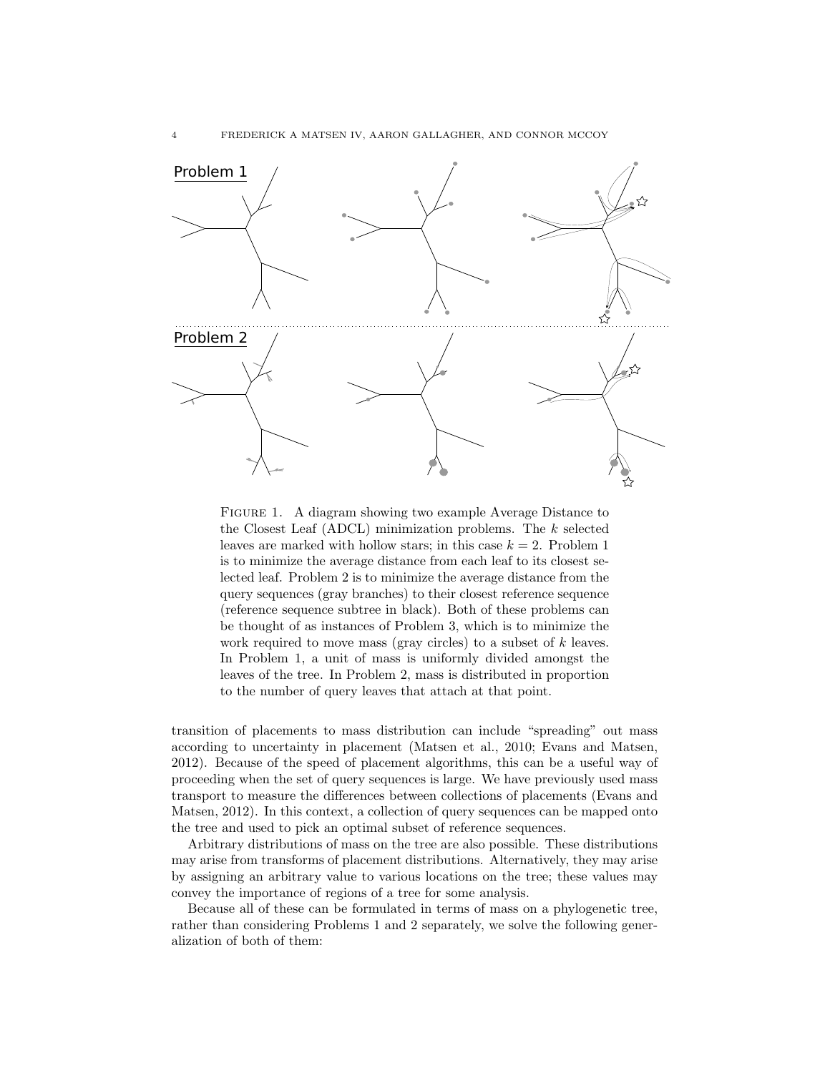

FIGURE 1. A diagram showing two example Average Distance to the Closest Leaf (ADCL) minimization problems. The  $k$  selected leaves are marked with hollow stars; in this case  $k = 2$ . Problem 1 is to minimize the average distance from each leaf to its closest selected leaf. Problem 2 is to minimize the average distance from the query sequences (gray branches) to their closest reference sequence (reference sequence subtree in black). Both of these problems can be thought of as instances of Problem 3, which is to minimize the work required to move mass (gray circles) to a subset of k leaves. In Problem 1, a unit of mass is uniformly divided amongst the leaves of the tree. In Problem 2, mass is distributed in proportion to the number of query leaves that attach at that point.

transition of placements to mass distribution can include "spreading" out mass according to uncertainty in placement (Matsen et al., 2010; Evans and Matsen, 2012). Because of the speed of placement algorithms, this can be a useful way of proceeding when the set of query sequences is large. We have previously used mass transport to measure the differences between collections of placements (Evans and Matsen, 2012). In this context, a collection of query sequences can be mapped onto the tree and used to pick an optimal subset of reference sequences.

Arbitrary distributions of mass on the tree are also possible. These distributions may arise from transforms of placement distributions. Alternatively, they may arise by assigning an arbitrary value to various locations on the tree; these values may convey the importance of regions of a tree for some analysis.

Because all of these can be formulated in terms of mass on a phylogenetic tree, rather than considering Problems 1 and 2 separately, we solve the following generalization of both of them: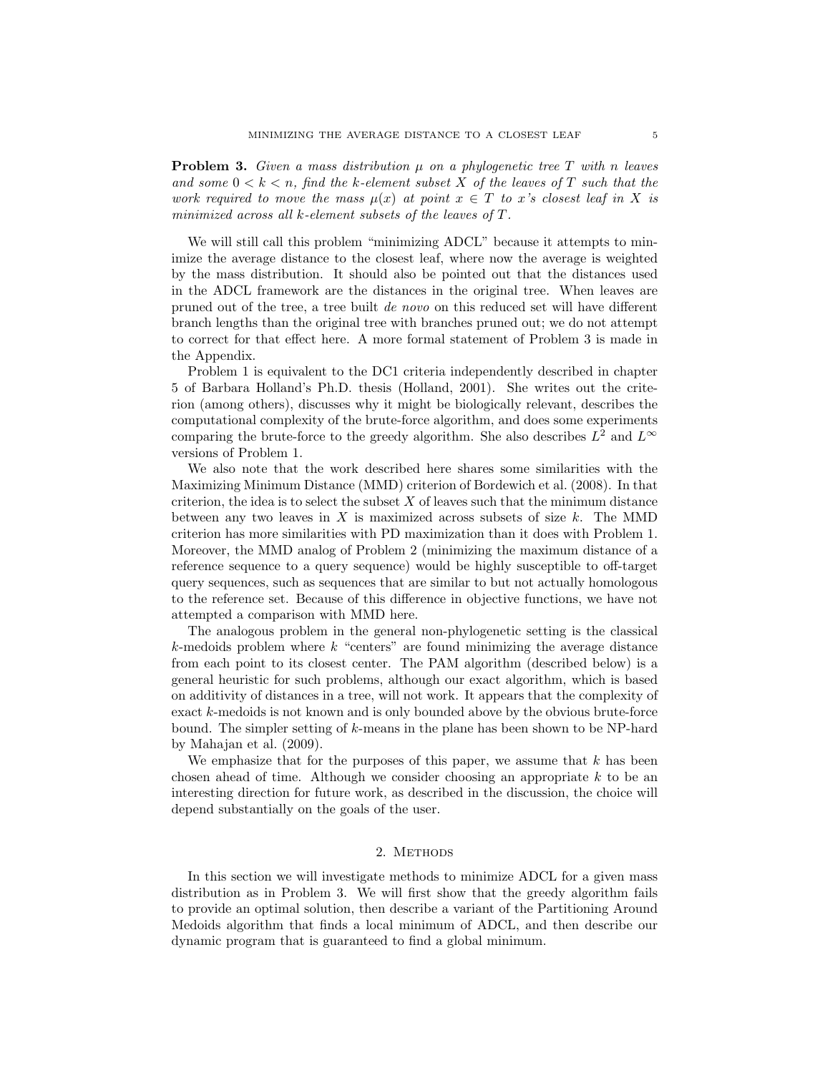**Problem 3.** Given a mass distribution  $\mu$  on a phylogenetic tree T with n leaves and some  $0 < k < n$ , find the k-element subset X of the leaves of T such that the work required to move the mass  $\mu(x)$  at point  $x \in T$  to x's closest leaf in X is minimized across all k-element subsets of the leaves of T.

We will still call this problem "minimizing ADCL" because it attempts to minimize the average distance to the closest leaf, where now the average is weighted by the mass distribution. It should also be pointed out that the distances used in the ADCL framework are the distances in the original tree. When leaves are pruned out of the tree, a tree built de novo on this reduced set will have different branch lengths than the original tree with branches pruned out; we do not attempt to correct for that effect here. A more formal statement of Problem 3 is made in the Appendix.

Problem 1 is equivalent to the DC1 criteria independently described in chapter 5 of Barbara Holland's Ph.D. thesis (Holland, 2001). She writes out the criterion (among others), discusses why it might be biologically relevant, describes the computational complexity of the brute-force algorithm, and does some experiments comparing the brute-force to the greedy algorithm. She also describes  $L^2$  and  $L^{\infty}$ versions of Problem 1.

We also note that the work described here shares some similarities with the Maximizing Minimum Distance (MMD) criterion of Bordewich et al. (2008). In that criterion, the idea is to select the subset  $X$  of leaves such that the minimum distance between any two leaves in X is maximized across subsets of size  $k$ . The MMD criterion has more similarities with PD maximization than it does with Problem 1. Moreover, the MMD analog of Problem 2 (minimizing the maximum distance of a reference sequence to a query sequence) would be highly susceptible to off-target query sequences, such as sequences that are similar to but not actually homologous to the reference set. Because of this difference in objective functions, we have not attempted a comparison with MMD here.

The analogous problem in the general non-phylogenetic setting is the classical  $k$ -medoids problem where  $k$  "centers" are found minimizing the average distance from each point to its closest center. The PAM algorithm (described below) is a general heuristic for such problems, although our exact algorithm, which is based on additivity of distances in a tree, will not work. It appears that the complexity of exact k-medoids is not known and is only bounded above by the obvious brute-force bound. The simpler setting of k-means in the plane has been shown to be NP-hard by Mahajan et al. (2009).

We emphasize that for the purposes of this paper, we assume that  $k$  has been chosen ahead of time. Although we consider choosing an appropriate  $k$  to be an interesting direction for future work, as described in the discussion, the choice will depend substantially on the goals of the user.

## 2. METHODS

In this section we will investigate methods to minimize ADCL for a given mass distribution as in Problem 3. We will first show that the greedy algorithm fails to provide an optimal solution, then describe a variant of the Partitioning Around Medoids algorithm that finds a local minimum of ADCL, and then describe our dynamic program that is guaranteed to find a global minimum.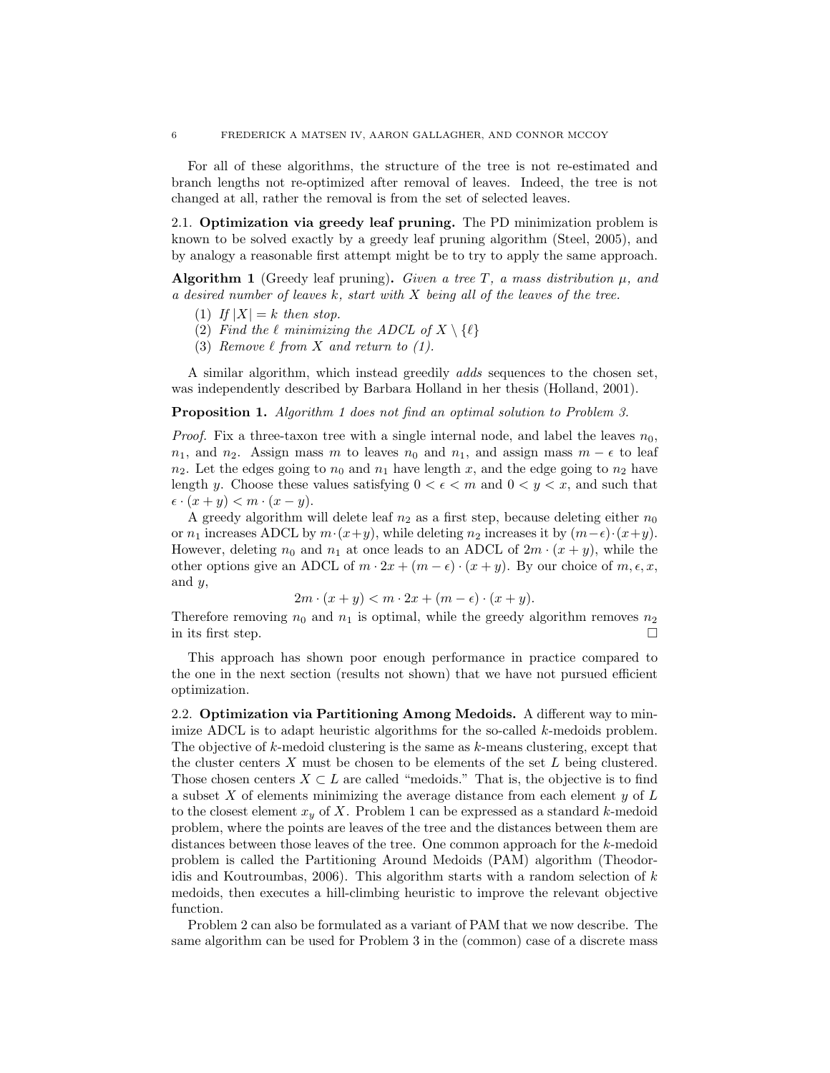For all of these algorithms, the structure of the tree is not re-estimated and branch lengths not re-optimized after removal of leaves. Indeed, the tree is not changed at all, rather the removal is from the set of selected leaves.

2.1. Optimization via greedy leaf pruning. The PD minimization problem is known to be solved exactly by a greedy leaf pruning algorithm (Steel, 2005), and by analogy a reasonable first attempt might be to try to apply the same approach.

**Algorithm 1** (Greedy leaf pruning). Given a tree T, a mass distribution  $\mu$ , and a desired number of leaves  $k$ , start with  $X$  being all of the leaves of the tree.

- (1) If  $|X| = k$  then stop.
- (2) Find the  $\ell$  minimizing the ADCL of  $X \setminus \{\ell\}$
- (3) Remove  $\ell$  from X and return to (1).

A similar algorithm, which instead greedily adds sequences to the chosen set, was independently described by Barbara Holland in her thesis (Holland, 2001).

Proposition 1. Algorithm 1 does not find an optimal solution to Problem 3.

*Proof.* Fix a three-taxon tree with a single internal node, and label the leaves  $n_0$ ,  $n_1$ , and  $n_2$ . Assign mass m to leaves  $n_0$  and  $n_1$ , and assign mass  $m - \epsilon$  to leaf  $n_2$ . Let the edges going to  $n_0$  and  $n_1$  have length x, and the edge going to  $n_2$  have length y. Choose these values satisfying  $0 < \epsilon < m$  and  $0 < y < x$ , and such that  $\epsilon \cdot (x + y) < m \cdot (x - y).$ 

A greedy algorithm will delete leaf  $n_2$  as a first step, because deleting either  $n_0$ or  $n_1$  increases ADCL by  $m \cdot (x+y)$ , while deleting  $n_2$  increases it by  $(m-\epsilon) \cdot (x+y)$ . However, deleting  $n_0$  and  $n_1$  at once leads to an ADCL of  $2m \cdot (x + y)$ , while the other options give an ADCL of  $m \cdot 2x + (m - \epsilon) \cdot (x + y)$ . By our choice of  $m, \epsilon, x$ , and y,

$$
2m \cdot (x+y) < m \cdot 2x + (m - \epsilon) \cdot (x+y).
$$

Therefore removing  $n_0$  and  $n_1$  is optimal, while the greedy algorithm removes  $n_2$ in its first step.  $\Box$ 

This approach has shown poor enough performance in practice compared to the one in the next section (results not shown) that we have not pursued efficient optimization.

2.2. Optimization via Partitioning Among Medoids. A different way to minimize ADCL is to adapt heuristic algorithms for the so-called  $k$ -medoids problem. The objective of  $k$ -medoid clustering is the same as  $k$ -means clustering, except that the cluster centers  $X$  must be chosen to be elements of the set  $L$  being clustered. Those chosen centers  $X \subset L$  are called "medoids." That is, the objective is to find a subset  $X$  of elements minimizing the average distance from each element  $y$  of  $L$ to the closest element  $x_y$  of X. Problem 1 can be expressed as a standard k-medoid problem, where the points are leaves of the tree and the distances between them are distances between those leaves of the tree. One common approach for the k-medoid problem is called the Partitioning Around Medoids (PAM) algorithm (Theodoridis and Koutroumbas, 2006). This algorithm starts with a random selection of  $k$ medoids, then executes a hill-climbing heuristic to improve the relevant objective function.

Problem 2 can also be formulated as a variant of PAM that we now describe. The same algorithm can be used for Problem 3 in the (common) case of a discrete mass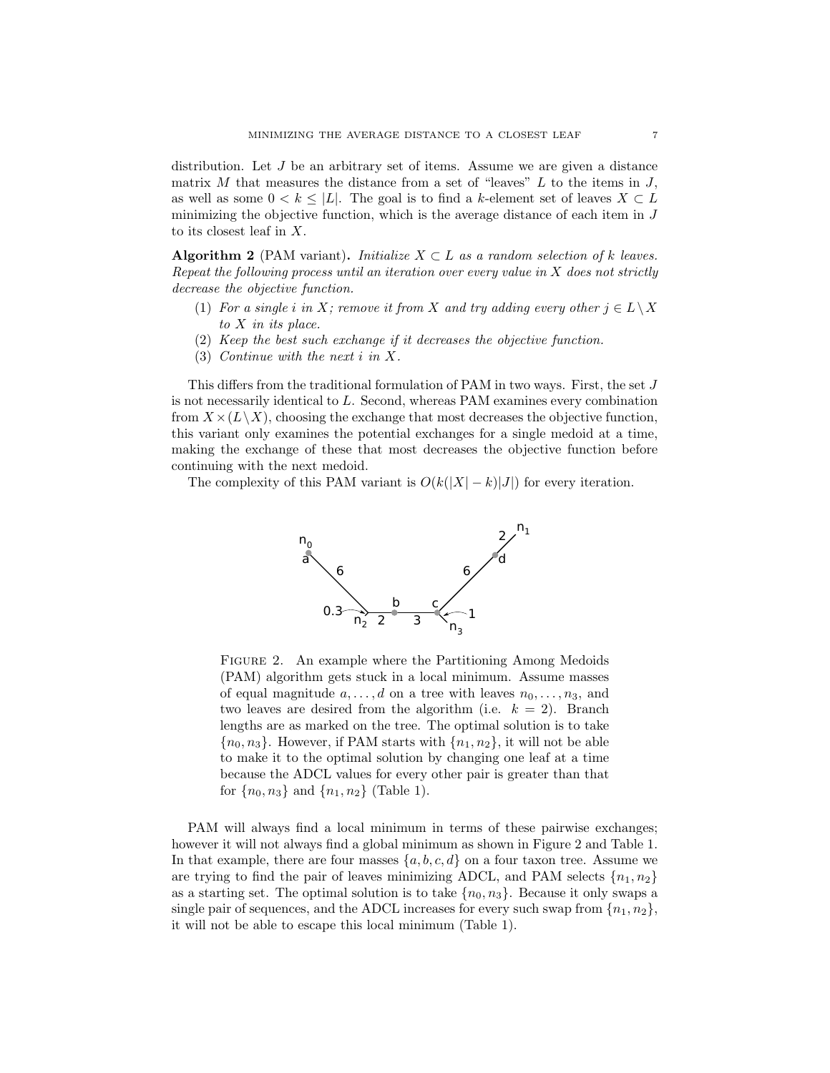distribution. Let J be an arbitrary set of items. Assume we are given a distance matrix M that measures the distance from a set of "leaves"  $L$  to the items in  $J$ , as well as some  $0 < k \leq |L|$ . The goal is to find a k-element set of leaves  $X \subset L$ minimizing the objective function, which is the average distance of each item in  $J$ to its closest leaf in X.

Algorithm 2 (PAM variant). Initialize  $X \subset L$  as a random selection of k leaves. Repeat the following process until an iteration over every value in  $X$  does not strictly decrease the objective function.

- (1) For a single i in X; remove it from X and try adding every other  $j \in L \backslash X$ to X in its place.
- (2) Keep the best such exchange if it decreases the objective function.
- (3) Continue with the next i in X.

This differs from the traditional formulation of PAM in two ways. First, the set J is not necessarily identical to  $L$ . Second, whereas PAM examines every combination from  $X \times (L \backslash X)$ , choosing the exchange that most decreases the objective function, this variant only examines the potential exchanges for a single medoid at a time, making the exchange of these that most decreases the objective function before continuing with the next medoid.

The complexity of this PAM variant is  $O(k(|X|-k)|J|)$  for every iteration.



FIGURE 2. An example where the Partitioning Among Medoids (PAM) algorithm gets stuck in a local minimum. Assume masses of equal magnitude  $a, \ldots, d$  on a tree with leaves  $n_0, \ldots, n_3$ , and two leaves are desired from the algorithm (i.e.  $k = 2$ ). Branch lengths are as marked on the tree. The optimal solution is to take  ${n_0, n_3}$ . However, if PAM starts with  ${n_1, n_2}$ , it will not be able to make it to the optimal solution by changing one leaf at a time because the ADCL values for every other pair is greater than that for  $\{n_0, n_3\}$  and  $\{n_1, n_2\}$  (Table 1).

PAM will always find a local minimum in terms of these pairwise exchanges; however it will not always find a global minimum as shown in Figure 2 and Table 1. In that example, there are four masses  $\{a, b, c, d\}$  on a four taxon tree. Assume we are trying to find the pair of leaves minimizing ADCL, and PAM selects  $\{n_1, n_2\}$ as a starting set. The optimal solution is to take  ${n_0, n_3}$ . Because it only swaps a single pair of sequences, and the ADCL increases for every such swap from  $\{n_1, n_2\}$ , it will not be able to escape this local minimum (Table 1).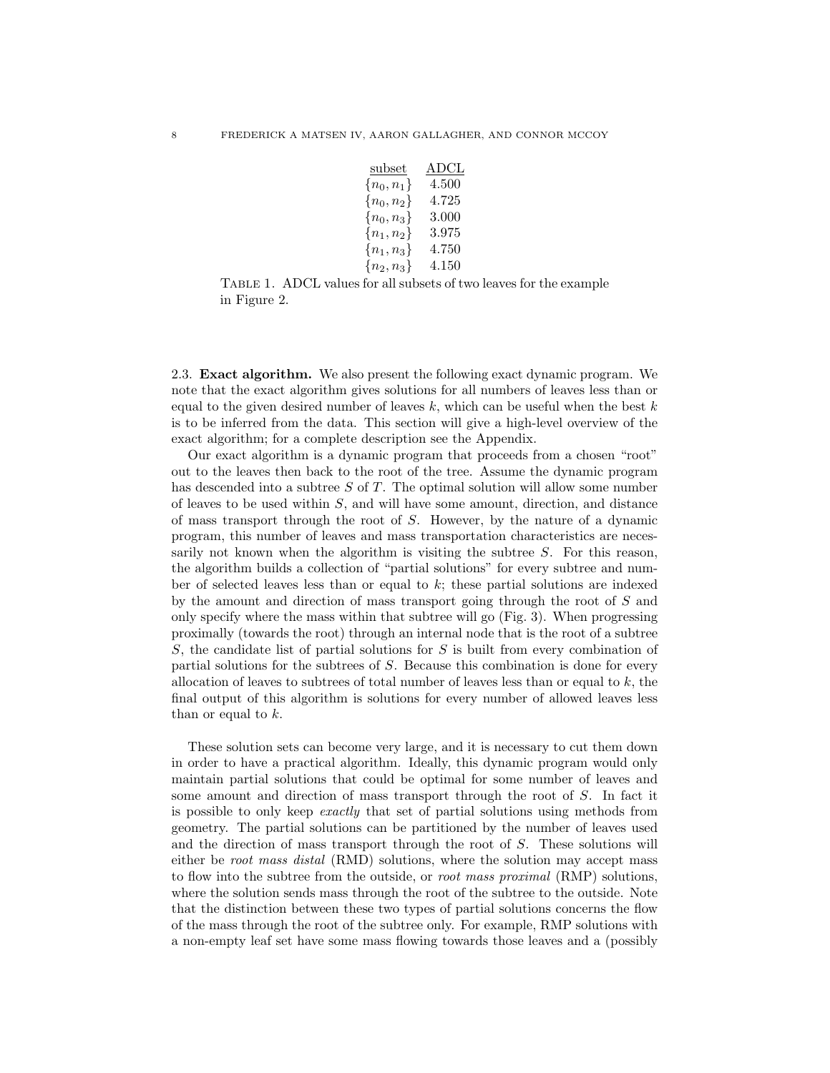| subset            | ADCL  |
|-------------------|-------|
| $\{n_0, n_1\}$    | 4.500 |
| $\{n_0, n_2\}$    | 4.725 |
| $\{n_0, n_3\}$    | 3.000 |
| $\{n_1, n_2\}$    | 3.975 |
| $\{n_{1},n_{3}\}$ | 4.750 |
| ${n_2, n_3}$      | 4.150 |
|                   |       |

Table 1. ADCL values for all subsets of two leaves for the example in Figure 2.

2.3. Exact algorithm. We also present the following exact dynamic program. We note that the exact algorithm gives solutions for all numbers of leaves less than or equal to the given desired number of leaves  $k$ , which can be useful when the best  $k$ is to be inferred from the data. This section will give a high-level overview of the exact algorithm; for a complete description see the Appendix.

Our exact algorithm is a dynamic program that proceeds from a chosen "root" out to the leaves then back to the root of the tree. Assume the dynamic program has descended into a subtree S of T. The optimal solution will allow some number of leaves to be used within  $S$ , and will have some amount, direction, and distance of mass transport through the root of S. However, by the nature of a dynamic program, this number of leaves and mass transportation characteristics are necessarily not known when the algorithm is visiting the subtree S. For this reason, the algorithm builds a collection of "partial solutions" for every subtree and number of selected leaves less than or equal to k; these partial solutions are indexed by the amount and direction of mass transport going through the root of S and only specify where the mass within that subtree will go (Fig. 3). When progressing proximally (towards the root) through an internal node that is the root of a subtree S, the candidate list of partial solutions for S is built from every combination of partial solutions for the subtrees of S. Because this combination is done for every allocation of leaves to subtrees of total number of leaves less than or equal to  $k$ , the final output of this algorithm is solutions for every number of allowed leaves less than or equal to  $k$ .

These solution sets can become very large, and it is necessary to cut them down in order to have a practical algorithm. Ideally, this dynamic program would only maintain partial solutions that could be optimal for some number of leaves and some amount and direction of mass transport through the root of S. In fact it is possible to only keep exactly that set of partial solutions using methods from geometry. The partial solutions can be partitioned by the number of leaves used and the direction of mass transport through the root of S. These solutions will either be *root mass distal* (RMD) solutions, where the solution may accept mass to flow into the subtree from the outside, or *root mass proximal* (RMP) solutions, where the solution sends mass through the root of the subtree to the outside. Note that the distinction between these two types of partial solutions concerns the flow of the mass through the root of the subtree only. For example, RMP solutions with a non-empty leaf set have some mass flowing towards those leaves and a (possibly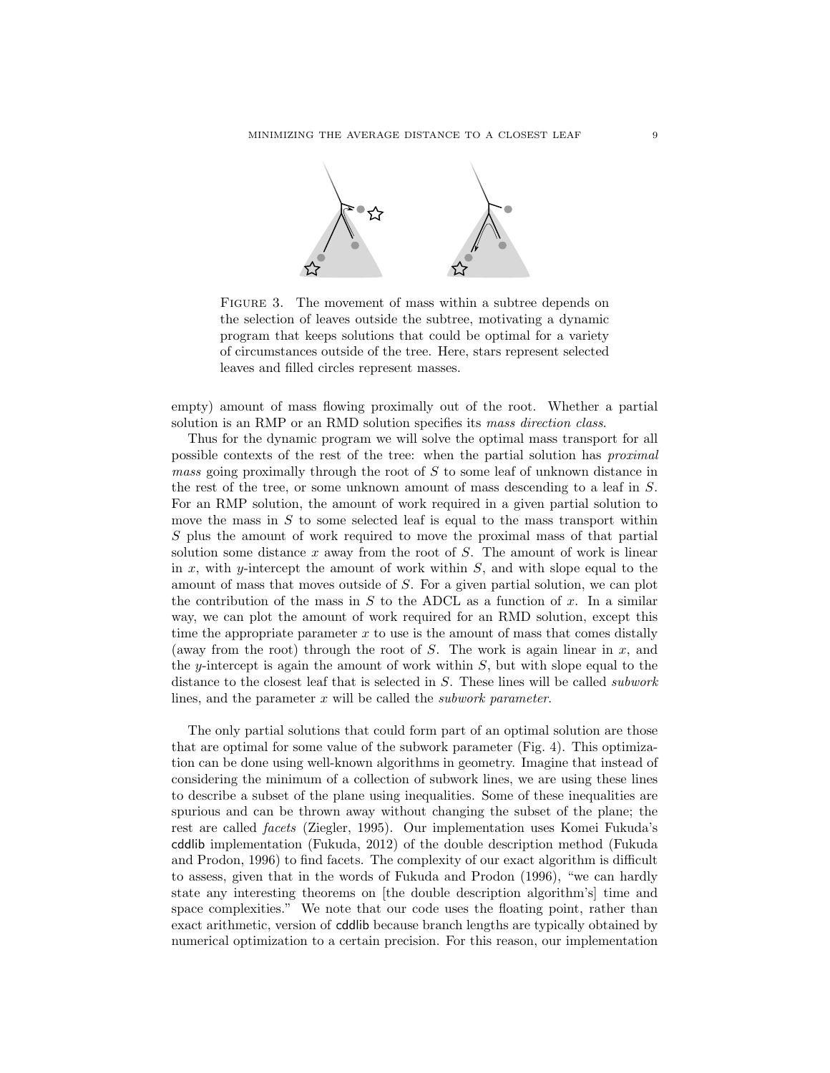

FIGURE 3. The movement of mass within a subtree depends on the selection of leaves outside the subtree, motivating a dynamic program that keeps solutions that could be optimal for a variety of circumstances outside of the tree. Here, stars represent selected leaves and filled circles represent masses.

empty) amount of mass flowing proximally out of the root. Whether a partial solution is an RMP or an RMD solution specifies its mass direction class.

Thus for the dynamic program we will solve the optimal mass transport for all possible contexts of the rest of the tree: when the partial solution has proximal mass going proximally through the root of S to some leaf of unknown distance in the rest of the tree, or some unknown amount of mass descending to a leaf in S. For an RMP solution, the amount of work required in a given partial solution to move the mass in  $S$  to some selected leaf is equal to the mass transport within S plus the amount of work required to move the proximal mass of that partial solution some distance  $x$  away from the root of  $S$ . The amount of work is linear in x, with y-intercept the amount of work within  $S$ , and with slope equal to the amount of mass that moves outside of S. For a given partial solution, we can plot the contribution of the mass in  $S$  to the ADCL as a function of  $x$ . In a similar way, we can plot the amount of work required for an RMD solution, except this time the appropriate parameter  $x$  to use is the amount of mass that comes distally (away from the root) through the root of  $S$ . The work is again linear in  $x$ , and the y-intercept is again the amount of work within  $S$ , but with slope equal to the distance to the closest leaf that is selected in S. These lines will be called *subwork* lines, and the parameter x will be called the *subwork parameter*.

The only partial solutions that could form part of an optimal solution are those that are optimal for some value of the subwork parameter (Fig. 4). This optimization can be done using well-known algorithms in geometry. Imagine that instead of considering the minimum of a collection of subwork lines, we are using these lines to describe a subset of the plane using inequalities. Some of these inequalities are spurious and can be thrown away without changing the subset of the plane; the rest are called facets (Ziegler, 1995). Our implementation uses Komei Fukuda's cddlib implementation (Fukuda, 2012) of the double description method (Fukuda and Prodon, 1996) to find facets. The complexity of our exact algorithm is difficult to assess, given that in the words of Fukuda and Prodon (1996), "we can hardly state any interesting theorems on [the double description algorithm's] time and space complexities." We note that our code uses the floating point, rather than exact arithmetic, version of cddlib because branch lengths are typically obtained by numerical optimization to a certain precision. For this reason, our implementation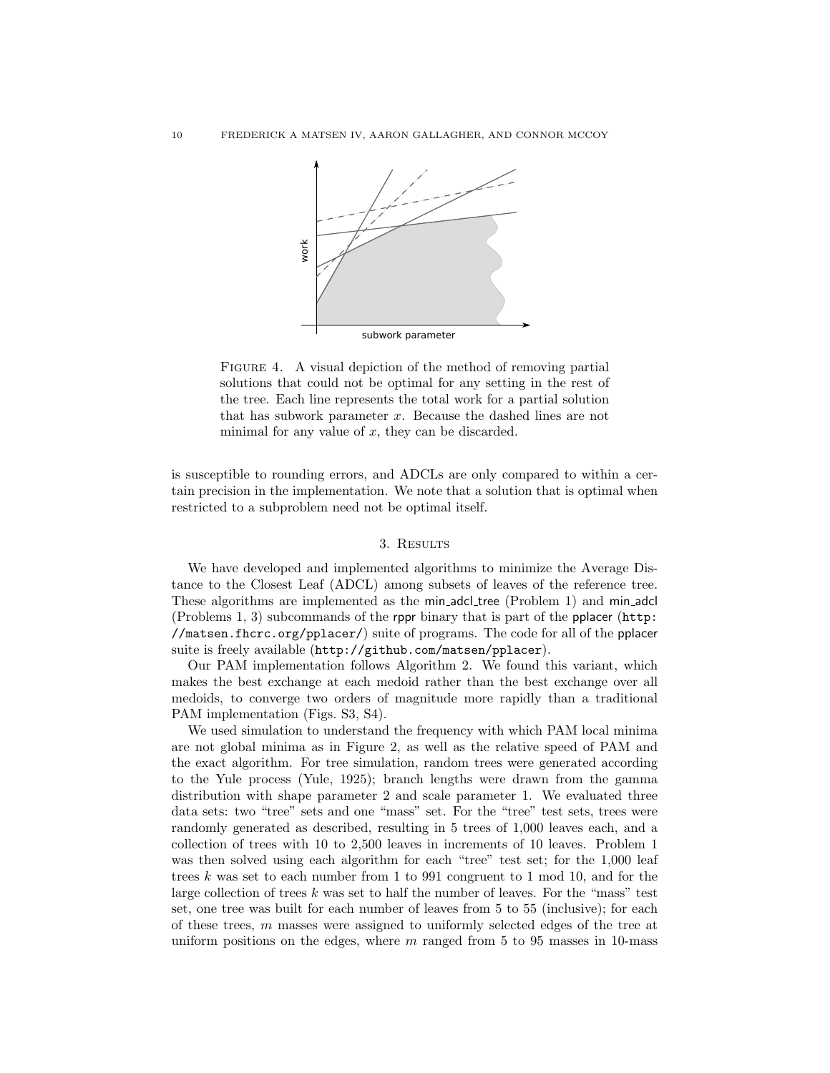

FIGURE 4. A visual depiction of the method of removing partial solutions that could not be optimal for any setting in the rest of the tree. Each line represents the total work for a partial solution that has subwork parameter  $x$ . Because the dashed lines are not minimal for any value of  $x$ , they can be discarded.

is susceptible to rounding errors, and ADCLs are only compared to within a certain precision in the implementation. We note that a solution that is optimal when restricted to a subproblem need not be optimal itself.

### 3. RESULTS

We have developed and implemented algorithms to minimize the Average Distance to the Closest Leaf (ADCL) among subsets of leaves of the reference tree. These algorithms are implemented as the min adcl tree (Problem 1) and min adcl (Problems 1, 3) subcommands of the rppr binary that is part of the pplacer (http: //matsen.fhcrc.org/pplacer/) suite of programs. The code for all of the pplacer suite is freely available (http://github.com/matsen/pplacer).

Our PAM implementation follows Algorithm 2. We found this variant, which makes the best exchange at each medoid rather than the best exchange over all medoids, to converge two orders of magnitude more rapidly than a traditional PAM implementation (Figs. S3, S4).

We used simulation to understand the frequency with which PAM local minima are not global minima as in Figure 2, as well as the relative speed of PAM and the exact algorithm. For tree simulation, random trees were generated according to the Yule process (Yule, 1925); branch lengths were drawn from the gamma distribution with shape parameter 2 and scale parameter 1. We evaluated three data sets: two "tree" sets and one "mass" set. For the "tree" test sets, trees were randomly generated as described, resulting in 5 trees of 1,000 leaves each, and a collection of trees with 10 to 2,500 leaves in increments of 10 leaves. Problem 1 was then solved using each algorithm for each "tree" test set; for the 1,000 leaf trees k was set to each number from 1 to 991 congruent to 1 mod 10, and for the large collection of trees  $k$  was set to half the number of leaves. For the "mass" test set, one tree was built for each number of leaves from 5 to 55 (inclusive); for each of these trees, m masses were assigned to uniformly selected edges of the tree at uniform positions on the edges, where  $m$  ranged from 5 to 95 masses in 10-mass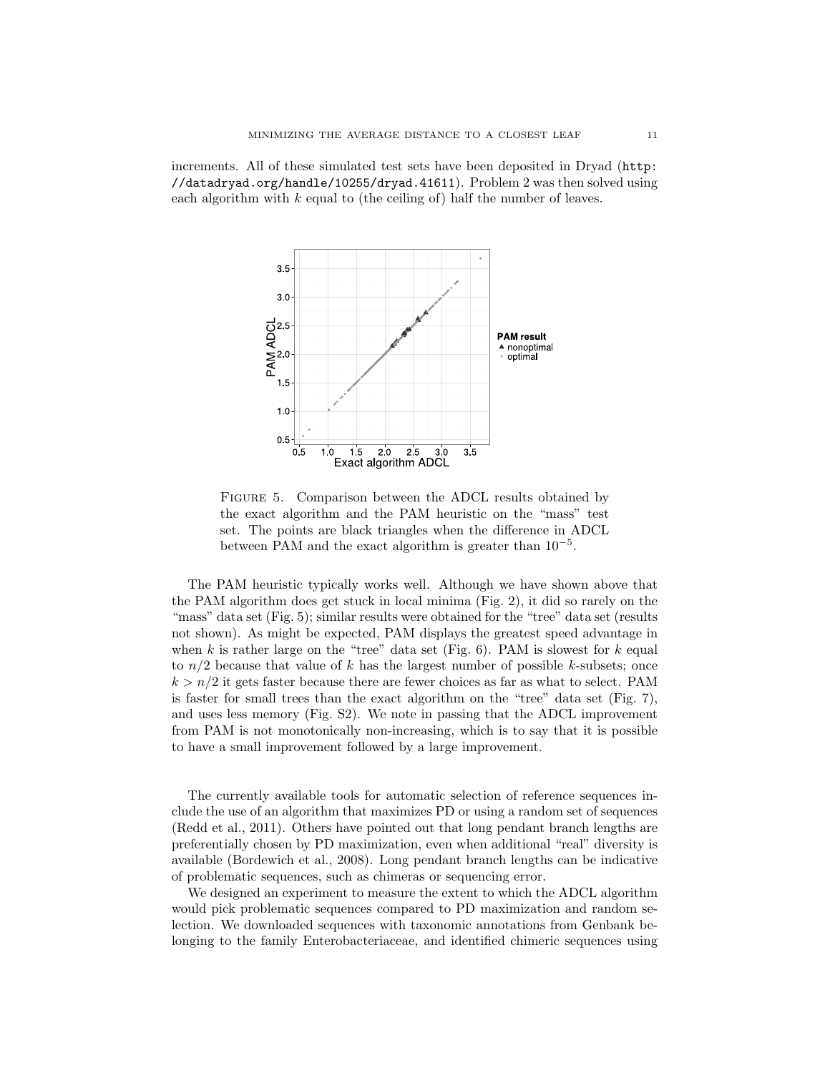increments. All of these simulated test sets have been deposited in Dryad (http: //datadryad.org/handle/10255/dryad.41611). Problem 2 was then solved using each algorithm with  $k$  equal to (the ceiling of) half the number of leaves.



FIGURE 5. Comparison between the ADCL results obtained by the exact algorithm and the PAM heuristic on the "mass" test set. The points are black triangles when the difference in ADCL between PAM and the exact algorithm is greater than 10−<sup>5</sup> .

The PAM heuristic typically works well. Although we have shown above that the PAM algorithm does get stuck in local minima (Fig. 2), it did so rarely on the "mass" data set (Fig. 5); similar results were obtained for the "tree" data set (results not shown). As might be expected, PAM displays the greatest speed advantage in when k is rather large on the "tree" data set (Fig.  $6$ ). PAM is slowest for k equal to  $n/2$  because that value of k has the largest number of possible k-subsets; once  $k > n/2$  it gets faster because there are fewer choices as far as what to select. PAM is faster for small trees than the exact algorithm on the "tree" data set (Fig. 7), and uses less memory (Fig. S2). We note in passing that the ADCL improvement from PAM is not monotonically non-increasing, which is to say that it is possible to have a small improvement followed by a large improvement.

The currently available tools for automatic selection of reference sequences include the use of an algorithm that maximizes PD or using a random set of sequences (Redd et al., 2011). Others have pointed out that long pendant branch lengths are preferentially chosen by PD maximization, even when additional "real" diversity is available (Bordewich et al., 2008). Long pendant branch lengths can be indicative of problematic sequences, such as chimeras or sequencing error.

We designed an experiment to measure the extent to which the ADCL algorithm would pick problematic sequences compared to PD maximization and random selection. We downloaded sequences with taxonomic annotations from Genbank belonging to the family Enterobacteriaceae, and identified chimeric sequences using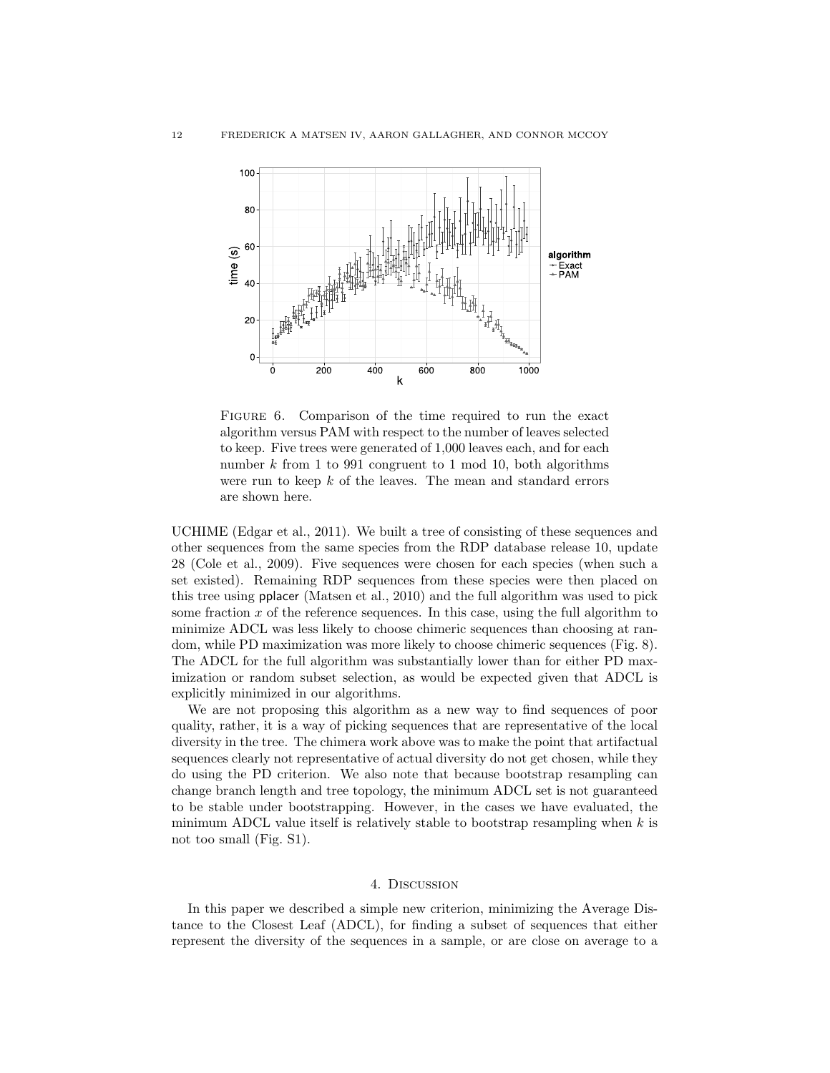

FIGURE 6. Comparison of the time required to run the exact algorithm versus PAM with respect to the number of leaves selected to keep. Five trees were generated of 1,000 leaves each, and for each number k from 1 to 991 congruent to 1 mod 10, both algorithms were run to keep  $k$  of the leaves. The mean and standard errors are shown here.

UCHIME (Edgar et al., 2011). We built a tree of consisting of these sequences and other sequences from the same species from the RDP database release 10, update 28 (Cole et al., 2009). Five sequences were chosen for each species (when such a set existed). Remaining RDP sequences from these species were then placed on this tree using pplacer (Matsen et al., 2010) and the full algorithm was used to pick some fraction  $x$  of the reference sequences. In this case, using the full algorithm to minimize ADCL was less likely to choose chimeric sequences than choosing at random, while PD maximization was more likely to choose chimeric sequences (Fig. 8). The ADCL for the full algorithm was substantially lower than for either PD maximization or random subset selection, as would be expected given that ADCL is explicitly minimized in our algorithms.

We are not proposing this algorithm as a new way to find sequences of poor quality, rather, it is a way of picking sequences that are representative of the local diversity in the tree. The chimera work above was to make the point that artifactual sequences clearly not representative of actual diversity do not get chosen, while they do using the PD criterion. We also note that because bootstrap resampling can change branch length and tree topology, the minimum ADCL set is not guaranteed to be stable under bootstrapping. However, in the cases we have evaluated, the minimum ADCL value itself is relatively stable to bootstrap resampling when  $k$  is not too small (Fig. S1).

#### 4. Discussion

In this paper we described a simple new criterion, minimizing the Average Distance to the Closest Leaf (ADCL), for finding a subset of sequences that either represent the diversity of the sequences in a sample, or are close on average to a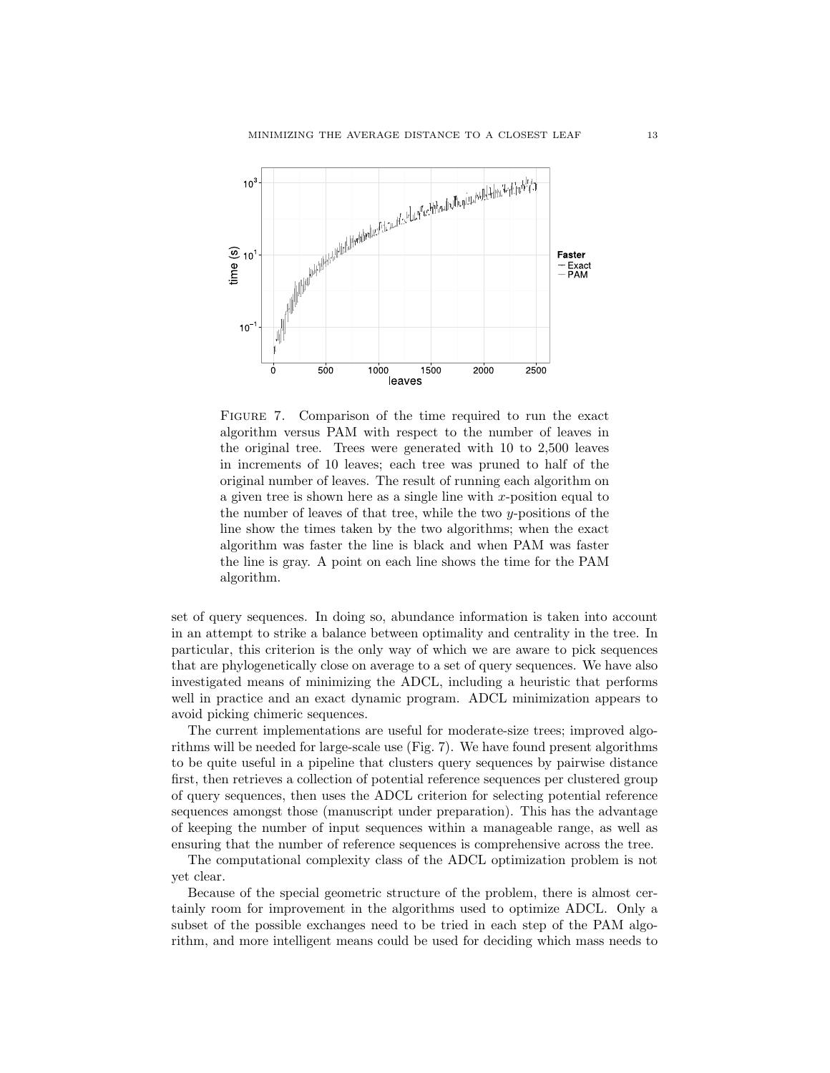

FIGURE 7. Comparison of the time required to run the exact algorithm versus PAM with respect to the number of leaves in the original tree. Trees were generated with 10 to 2,500 leaves in increments of 10 leaves; each tree was pruned to half of the original number of leaves. The result of running each algorithm on a given tree is shown here as a single line with x-position equal to the number of leaves of that tree, while the two y-positions of the line show the times taken by the two algorithms; when the exact algorithm was faster the line is black and when PAM was faster the line is gray. A point on each line shows the time for the PAM algorithm.

set of query sequences. In doing so, abundance information is taken into account in an attempt to strike a balance between optimality and centrality in the tree. In particular, this criterion is the only way of which we are aware to pick sequences that are phylogenetically close on average to a set of query sequences. We have also investigated means of minimizing the ADCL, including a heuristic that performs well in practice and an exact dynamic program. ADCL minimization appears to avoid picking chimeric sequences.

The current implementations are useful for moderate-size trees; improved algorithms will be needed for large-scale use (Fig. 7). We have found present algorithms to be quite useful in a pipeline that clusters query sequences by pairwise distance first, then retrieves a collection of potential reference sequences per clustered group of query sequences, then uses the ADCL criterion for selecting potential reference sequences amongst those (manuscript under preparation). This has the advantage of keeping the number of input sequences within a manageable range, as well as ensuring that the number of reference sequences is comprehensive across the tree.

The computational complexity class of the ADCL optimization problem is not yet clear.

Because of the special geometric structure of the problem, there is almost certainly room for improvement in the algorithms used to optimize ADCL. Only a subset of the possible exchanges need to be tried in each step of the PAM algorithm, and more intelligent means could be used for deciding which mass needs to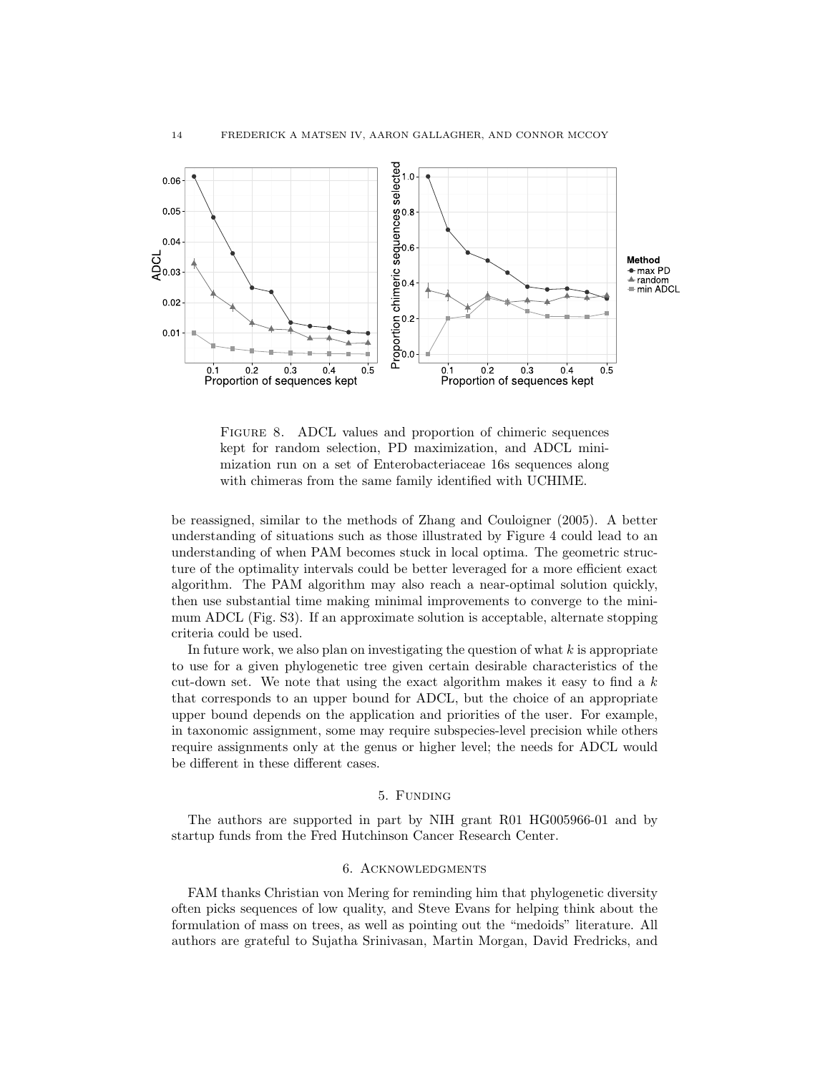

FIGURE 8. ADCL values and proportion of chimeric sequences kept for random selection, PD maximization, and ADCL minimization run on a set of Enterobacteriaceae 16s sequences along with chimeras from the same family identified with UCHIME.

be reassigned, similar to the methods of Zhang and Couloigner (2005). A better understanding of situations such as those illustrated by Figure 4 could lead to an understanding of when PAM becomes stuck in local optima. The geometric structure of the optimality intervals could be better leveraged for a more efficient exact algorithm. The PAM algorithm may also reach a near-optimal solution quickly, then use substantial time making minimal improvements to converge to the minimum ADCL (Fig. S3). If an approximate solution is acceptable, alternate stopping criteria could be used.

In future work, we also plan on investigating the question of what  $k$  is appropriate to use for a given phylogenetic tree given certain desirable characteristics of the cut-down set. We note that using the exact algorithm makes it easy to find a  $k$ that corresponds to an upper bound for ADCL, but the choice of an appropriate upper bound depends on the application and priorities of the user. For example, in taxonomic assignment, some may require subspecies-level precision while others require assignments only at the genus or higher level; the needs for ADCL would be different in these different cases.

#### 5. Funding

The authors are supported in part by NIH grant R01 HG005966-01 and by startup funds from the Fred Hutchinson Cancer Research Center.

#### 6. Acknowledgments

FAM thanks Christian von Mering for reminding him that phylogenetic diversity often picks sequences of low quality, and Steve Evans for helping think about the formulation of mass on trees, as well as pointing out the "medoids" literature. All authors are grateful to Sujatha Srinivasan, Martin Morgan, David Fredricks, and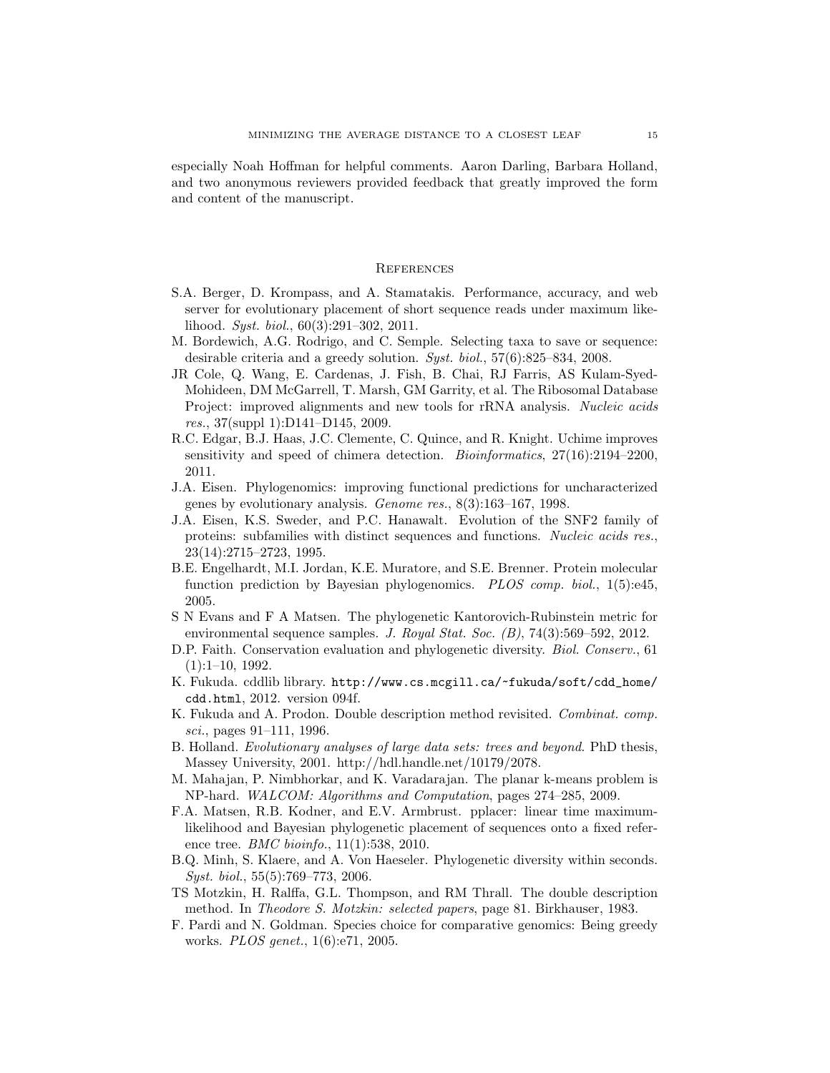especially Noah Hoffman for helpful comments. Aaron Darling, Barbara Holland, and two anonymous reviewers provided feedback that greatly improved the form and content of the manuscript.

## **REFERENCES**

- S.A. Berger, D. Krompass, and A. Stamatakis. Performance, accuracy, and web server for evolutionary placement of short sequence reads under maximum likelihood. Syst. biol., 60(3):291–302, 2011.
- M. Bordewich, A.G. Rodrigo, and C. Semple. Selecting taxa to save or sequence: desirable criteria and a greedy solution. Syst. biol., 57(6):825–834, 2008.
- JR Cole, Q. Wang, E. Cardenas, J. Fish, B. Chai, RJ Farris, AS Kulam-Syed-Mohideen, DM McGarrell, T. Marsh, GM Garrity, et al. The Ribosomal Database Project: improved alignments and new tools for rRNA analysis. Nucleic acids res., 37(suppl 1):D141–D145, 2009.
- R.C. Edgar, B.J. Haas, J.C. Clemente, C. Quince, and R. Knight. Uchime improves sensitivity and speed of chimera detection. Bioinformatics, 27(16):2194–2200, 2011.
- J.A. Eisen. Phylogenomics: improving functional predictions for uncharacterized genes by evolutionary analysis. Genome res., 8(3):163–167, 1998.
- J.A. Eisen, K.S. Sweder, and P.C. Hanawalt. Evolution of the SNF2 family of proteins: subfamilies with distinct sequences and functions. Nucleic acids res., 23(14):2715–2723, 1995.
- B.E. Engelhardt, M.I. Jordan, K.E. Muratore, and S.E. Brenner. Protein molecular function prediction by Bayesian phylogenomics. *PLOS comp. biol.*, 1(5):e45, 2005.
- S N Evans and F A Matsen. The phylogenetic Kantorovich-Rubinstein metric for environmental sequence samples. J. Royal Stat. Soc.  $(B)$ , 74 $(3)$ :569–592, 2012.
- D.P. Faith. Conservation evaluation and phylogenetic diversity. *Biol. Conserv.*, 61  $(1):1-10, 1992.$
- K. Fukuda. cddlib library. http://www.cs.mcgill.ca/~fukuda/soft/cdd\_home/ cdd.html, 2012. version 094f.
- K. Fukuda and A. Prodon. Double description method revisited. Combinat. comp. sci., pages 91–111, 1996.
- B. Holland. Evolutionary analyses of large data sets: trees and beyond. PhD thesis, Massey University, 2001. http://hdl.handle.net/10179/2078.
- M. Mahajan, P. Nimbhorkar, and K. Varadarajan. The planar k-means problem is NP-hard. WALCOM: Algorithms and Computation, pages 274–285, 2009.
- F.A. Matsen, R.B. Kodner, and E.V. Armbrust. pplacer: linear time maximumlikelihood and Bayesian phylogenetic placement of sequences onto a fixed reference tree. *BMC bioinfo.*,  $11(1):538$ ,  $2010$ .
- B.Q. Minh, S. Klaere, and A. Von Haeseler. Phylogenetic diversity within seconds. Syst. biol., 55(5):769–773, 2006.
- TS Motzkin, H. Ralffa, G.L. Thompson, and RM Thrall. The double description method. In Theodore S. Motzkin: selected papers, page 81. Birkhauser, 1983.
- F. Pardi and N. Goldman. Species choice for comparative genomics: Being greedy works. PLOS genet., 1(6):e71, 2005.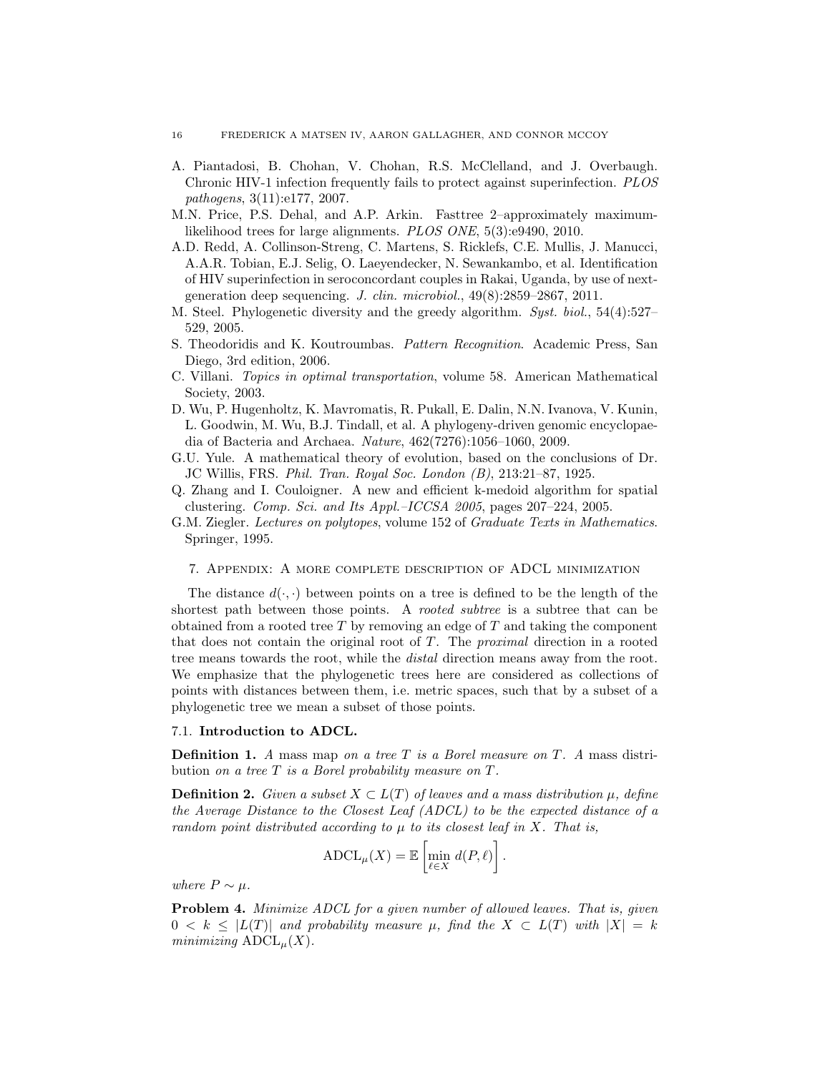16 FREDERICK A MATSEN IV, AARON GALLAGHER, AND CONNOR MCCOY

- A. Piantadosi, B. Chohan, V. Chohan, R.S. McClelland, and J. Overbaugh. Chronic HIV-1 infection frequently fails to protect against superinfection. PLOS pathogens, 3(11):e177, 2007.
- M.N. Price, P.S. Dehal, and A.P. Arkin. Fasttree 2–approximately maximumlikelihood trees for large alignments. PLOS ONE, 5(3):e9490, 2010.
- A.D. Redd, A. Collinson-Streng, C. Martens, S. Ricklefs, C.E. Mullis, J. Manucci, A.A.R. Tobian, E.J. Selig, O. Laeyendecker, N. Sewankambo, et al. Identification of HIV superinfection in seroconcordant couples in Rakai, Uganda, by use of nextgeneration deep sequencing. J. clin. microbiol., 49(8):2859–2867, 2011.
- M. Steel. Phylogenetic diversity and the greedy algorithm. Syst. biol., 54(4):527– 529, 2005.
- S. Theodoridis and K. Koutroumbas. Pattern Recognition. Academic Press, San Diego, 3rd edition, 2006.
- C. Villani. Topics in optimal transportation, volume 58. American Mathematical Society, 2003.
- D. Wu, P. Hugenholtz, K. Mavromatis, R. Pukall, E. Dalin, N.N. Ivanova, V. Kunin, L. Goodwin, M. Wu, B.J. Tindall, et al. A phylogeny-driven genomic encyclopaedia of Bacteria and Archaea. Nature, 462(7276):1056–1060, 2009.
- G.U. Yule. A mathematical theory of evolution, based on the conclusions of Dr. JC Willis, FRS. Phil. Tran. Royal Soc. London (B), 213:21–87, 1925.
- Q. Zhang and I. Couloigner. A new and efficient k-medoid algorithm for spatial clustering. Comp. Sci. and Its Appl.–ICCSA 2005, pages 207–224, 2005.
- G.M. Ziegler. Lectures on polytopes, volume 152 of Graduate Texts in Mathematics. Springer, 1995.

## 7. Appendix: A more complete description of ADCL minimization

The distance  $d(\cdot, \cdot)$  between points on a tree is defined to be the length of the shortest path between those points. A rooted subtree is a subtree that can be obtained from a rooted tree  $T$  by removing an edge of  $T$  and taking the component that does not contain the original root of T. The proximal direction in a rooted tree means towards the root, while the distal direction means away from the root. We emphasize that the phylogenetic trees here are considered as collections of points with distances between them, i.e. metric spaces, such that by a subset of a phylogenetic tree we mean a subset of those points.

#### 7.1. Introduction to ADCL.

**Definition 1.** A mass map on a tree T is a Borel measure on T. A mass distribution on a tree  $T$  is a Borel probability measure on  $T$ .

**Definition 2.** Given a subset  $X \subset L(T)$  of leaves and a mass distribution  $\mu$ , define the Average Distance to the Closest Leaf (ADCL) to be the expected distance of a random point distributed according to  $\mu$  to its closest leaf in X. That is,

$$
\text{ADCL}_{\mu}(X) = \mathbb{E}\left[\min_{\ell \in X} d(P, \ell)\right].
$$

where  $P \sim \mu$ .

Problem 4. Minimize ADCL for a given number of allowed leaves. That is, given  $0 \leq k \leq |L(T)|$  and probability measure  $\mu$ , find the  $X \subset L(T)$  with  $|X| = k$ minimizing  $\text{ADCL}_{\mu}(X)$ .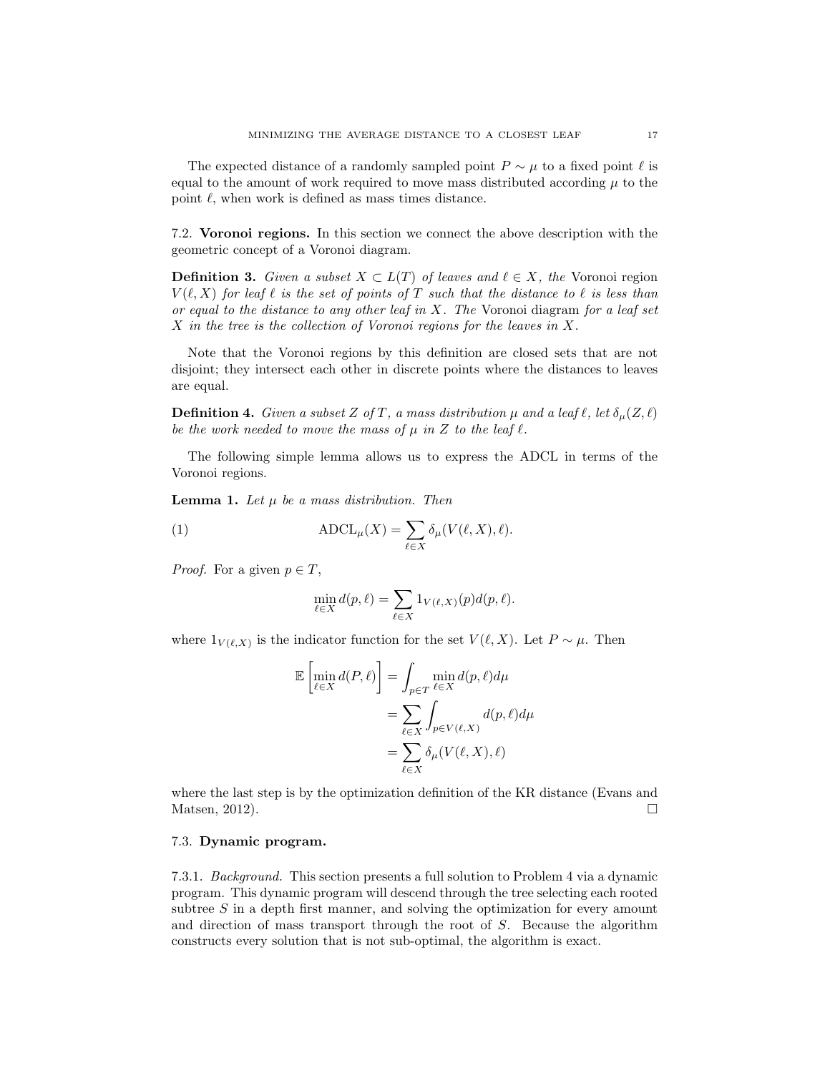The expected distance of a randomly sampled point  $P \sim \mu$  to a fixed point  $\ell$  is equal to the amount of work required to move mass distributed according  $\mu$  to the point  $\ell$ , when work is defined as mass times distance.

7.2. Voronoi regions. In this section we connect the above description with the geometric concept of a Voronoi diagram.

**Definition 3.** Given a subset  $X \subset L(T)$  of leaves and  $\ell \in X$ , the Voronoi region  $V(\ell, X)$  for leaf  $\ell$  is the set of points of T such that the distance to  $\ell$  is less than or equal to the distance to any other leaf in  $X$ . The Voronoi diagram for a leaf set  $X$  in the tree is the collection of Voronoi regions for the leaves in  $X$ .

Note that the Voronoi regions by this definition are closed sets that are not disjoint; they intersect each other in discrete points where the distances to leaves are equal.

**Definition 4.** Given a subset Z of T, a mass distribution  $\mu$  and a leaf  $\ell$ , let  $\delta_{\mu}(Z, \ell)$ be the work needed to move the mass of  $\mu$  in Z to the leaf  $\ell$ .

The following simple lemma allows us to express the ADCL in terms of the Voronoi regions.

**Lemma 1.** Let  $\mu$  be a mass distribution. Then

(1) 
$$
ADCL_{\mu}(X) = \sum_{\ell \in X} \delta_{\mu}(V(\ell, X), \ell).
$$

*Proof.* For a given  $p \in T$ ,

$$
\min_{\ell \in X} d(p, \ell) = \sum_{\ell \in X} 1_{V(\ell, X)}(p) d(p, \ell).
$$

where  $1_{V(\ell,X)}$  is the indicator function for the set  $V(\ell,X)$ . Let  $P \sim \mu$ . Then

$$
\mathbb{E}\left[\min_{\ell \in X} d(P,\ell)\right] = \int_{p \in T} \min_{\ell \in X} d(p,\ell) d\mu
$$

$$
= \sum_{\ell \in X} \int_{p \in V(\ell,X)} d(p,\ell) d\mu
$$

$$
= \sum_{\ell \in X} \delta_{\mu}(V(\ell,X),\ell)
$$

where the last step is by the optimization definition of the KR distance (Evans and Matsen, 2012).  $\square$ 

#### 7.3. Dynamic program.

7.3.1. Background. This section presents a full solution to Problem 4 via a dynamic program. This dynamic program will descend through the tree selecting each rooted subtree  $S$  in a depth first manner, and solving the optimization for every amount and direction of mass transport through the root of S. Because the algorithm constructs every solution that is not sub-optimal, the algorithm is exact.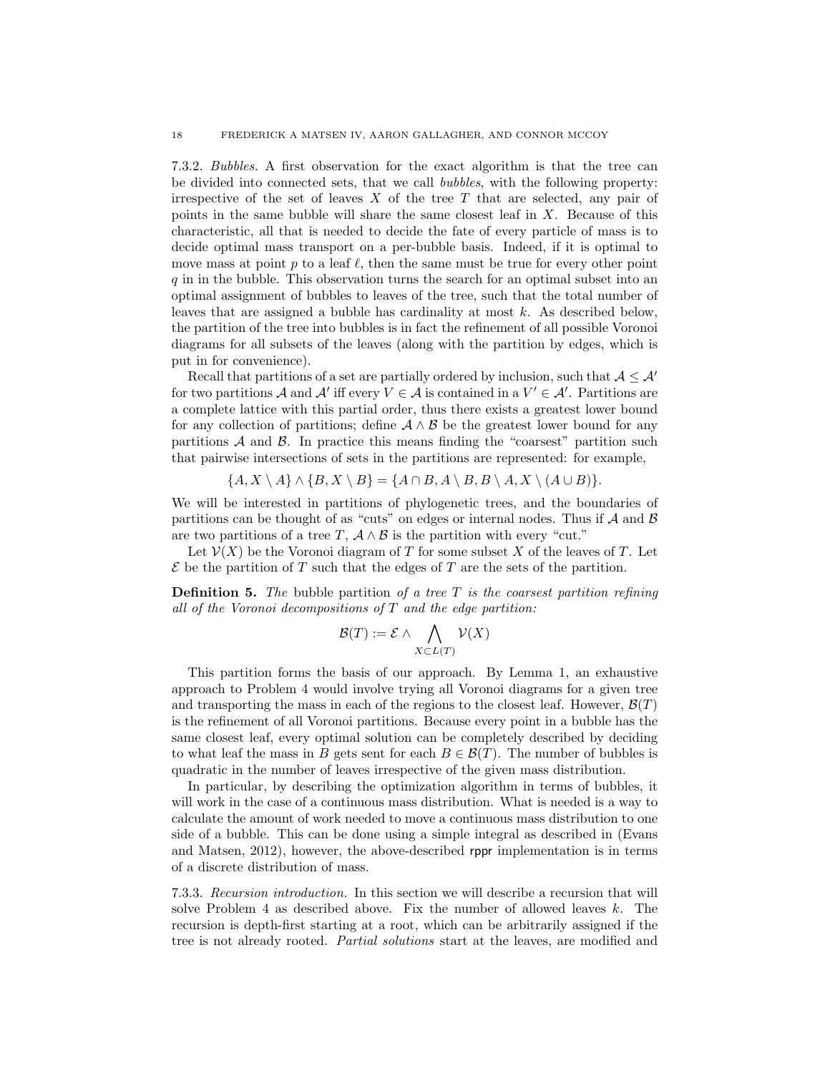7.3.2. Bubbles. A first observation for the exact algorithm is that the tree can be divided into connected sets, that we call bubbles, with the following property: irrespective of the set of leaves  $X$  of the tree  $T$  that are selected, any pair of points in the same bubble will share the same closest leaf in X. Because of this characteristic, all that is needed to decide the fate of every particle of mass is to decide optimal mass transport on a per-bubble basis. Indeed, if it is optimal to move mass at point p to a leaf  $\ell$ , then the same must be true for every other point q in in the bubble. This observation turns the search for an optimal subset into an optimal assignment of bubbles to leaves of the tree, such that the total number of leaves that are assigned a bubble has cardinality at most  $k$ . As described below, the partition of the tree into bubbles is in fact the refinement of all possible Voronoi diagrams for all subsets of the leaves (along with the partition by edges, which is put in for convenience).

Recall that partitions of a set are partially ordered by inclusion, such that  $A \leq A'$ for two partitions A and A' iff every  $V \in A$  is contained in a  $V' \in A'$ . Partitions are a complete lattice with this partial order, thus there exists a greatest lower bound for any collection of partitions; define  $\mathcal{A} \wedge \mathcal{B}$  be the greatest lower bound for any partitions  $A$  and  $B$ . In practice this means finding the "coarsest" partition such that pairwise intersections of sets in the partitions are represented: for example,

$$
\{A, X \setminus A\} \wedge \{B, X \setminus B\} = \{A \cap B, A \setminus B, B \setminus A, X \setminus (A \cup B)\}.
$$

We will be interested in partitions of phylogenetic trees, and the boundaries of partitions can be thought of as "cuts" on edges or internal nodes. Thus if  $A$  and  $B$ are two partitions of a tree T,  $A \wedge B$  is the partition with every "cut."

Let  $\mathcal{V}(X)$  be the Voronoi diagram of T for some subset X of the leaves of T. Let  $\mathcal E$  be the partition of T such that the edges of T are the sets of the partition.

**Definition 5.** The bubble partition of a tree  $T$  is the coarsest partition refining all of the Voronoi decompositions of  $T$  and the edge partition:

$$
\mathcal{B}(T) := \mathcal{E} \wedge \bigwedge_{X \subset L(T)} \mathcal{V}(X)
$$

This partition forms the basis of our approach. By Lemma 1, an exhaustive approach to Problem 4 would involve trying all Voronoi diagrams for a given tree and transporting the mass in each of the regions to the closest leaf. However,  $\mathcal{B}(T)$ is the refinement of all Voronoi partitions. Because every point in a bubble has the same closest leaf, every optimal solution can be completely described by deciding to what leaf the mass in B gets sent for each  $B \in \mathcal{B}(T)$ . The number of bubbles is quadratic in the number of leaves irrespective of the given mass distribution.

In particular, by describing the optimization algorithm in terms of bubbles, it will work in the case of a continuous mass distribution. What is needed is a way to calculate the amount of work needed to move a continuous mass distribution to one side of a bubble. This can be done using a simple integral as described in (Evans and Matsen, 2012), however, the above-described rppr implementation is in terms of a discrete distribution of mass.

7.3.3. Recursion introduction. In this section we will describe a recursion that will solve Problem 4 as described above. Fix the number of allowed leaves  $k$ . The recursion is depth-first starting at a root, which can be arbitrarily assigned if the tree is not already rooted. *Partial solutions* start at the leaves, are modified and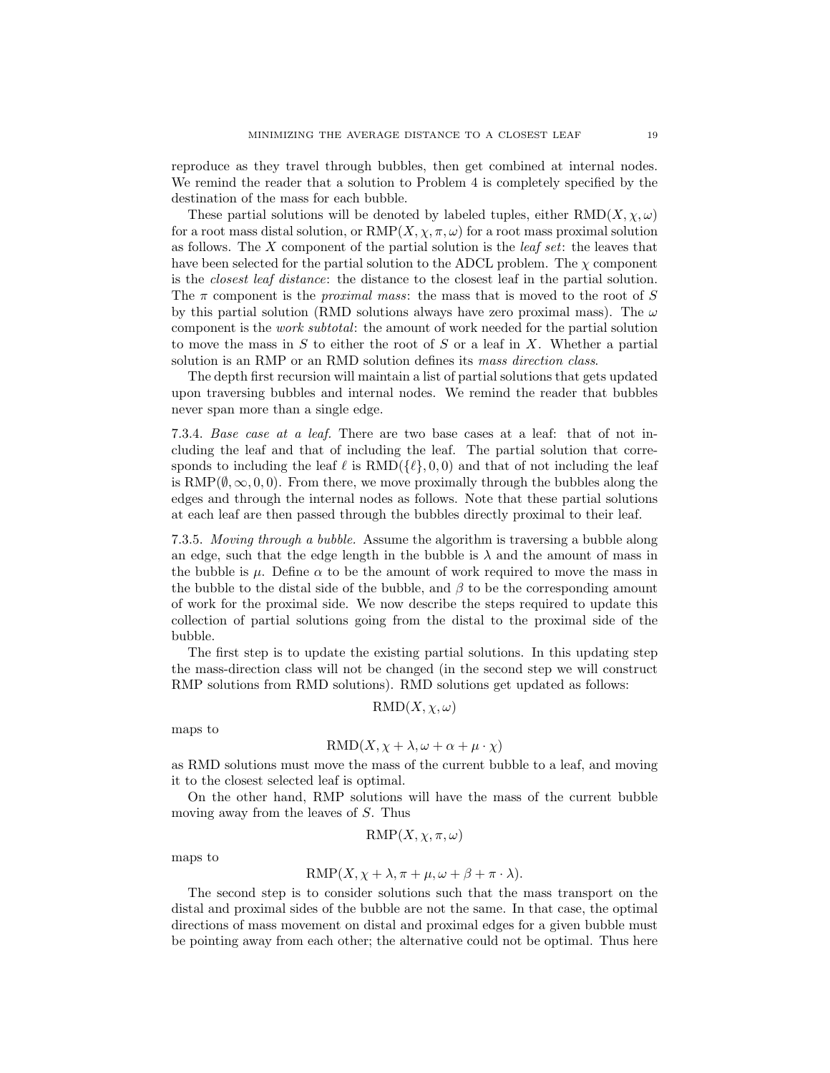reproduce as they travel through bubbles, then get combined at internal nodes. We remind the reader that a solution to Problem 4 is completely specified by the destination of the mass for each bubble.

These partial solutions will be denoted by labeled tuples, either  $RMD(X, \chi, \omega)$ for a root mass distal solution, or  $RMP(X, \chi, \pi, \omega)$  for a root mass proximal solution as follows. The  $X$  component of the partial solution is the *leaf set*: the leaves that have been selected for the partial solution to the ADCL problem. The  $\chi$  component is the closest leaf distance: the distance to the closest leaf in the partial solution. The  $\pi$  component is the *proximal mass*: the mass that is moved to the root of S by this partial solution (RMD solutions always have zero proximal mass). The  $\omega$ component is the work subtotal: the amount of work needed for the partial solution to move the mass in  $S$  to either the root of  $S$  or a leaf in  $X$ . Whether a partial solution is an RMP or an RMD solution defines its *mass direction class*.

The depth first recursion will maintain a list of partial solutions that gets updated upon traversing bubbles and internal nodes. We remind the reader that bubbles never span more than a single edge.

7.3.4. Base case at a leaf. There are two base cases at a leaf: that of not including the leaf and that of including the leaf. The partial solution that corresponds to including the leaf  $\ell$  is  $\text{RMD}(\{\ell\}, 0, 0)$  and that of not including the leaf is RMP( $(\emptyset, \infty, 0, 0)$ ). From there, we move proximally through the bubbles along the edges and through the internal nodes as follows. Note that these partial solutions at each leaf are then passed through the bubbles directly proximal to their leaf.

7.3.5. Moving through a bubble. Assume the algorithm is traversing a bubble along an edge, such that the edge length in the bubble is  $\lambda$  and the amount of mass in the bubble is  $\mu$ . Define  $\alpha$  to be the amount of work required to move the mass in the bubble to the distal side of the bubble, and  $\beta$  to be the corresponding amount of work for the proximal side. We now describe the steps required to update this collection of partial solutions going from the distal to the proximal side of the bubble.

The first step is to update the existing partial solutions. In this updating step the mass-direction class will not be changed (in the second step we will construct RMP solutions from RMD solutions). RMD solutions get updated as follows:

$$
\text{RMD}(X, \chi, \omega)
$$

maps to

$$
\text{RMD}(X, \chi + \lambda, \omega + \alpha + \mu \cdot \chi)
$$

as RMD solutions must move the mass of the current bubble to a leaf, and moving it to the closest selected leaf is optimal.

On the other hand, RMP solutions will have the mass of the current bubble moving away from the leaves of S. Thus

$$
\text{RMP}(X, \chi, \pi, \omega)
$$

maps to

$$
\text{RMP}(X, \chi + \lambda, \pi + \mu, \omega + \beta + \pi \cdot \lambda).
$$

The second step is to consider solutions such that the mass transport on the distal and proximal sides of the bubble are not the same. In that case, the optimal directions of mass movement on distal and proximal edges for a given bubble must be pointing away from each other; the alternative could not be optimal. Thus here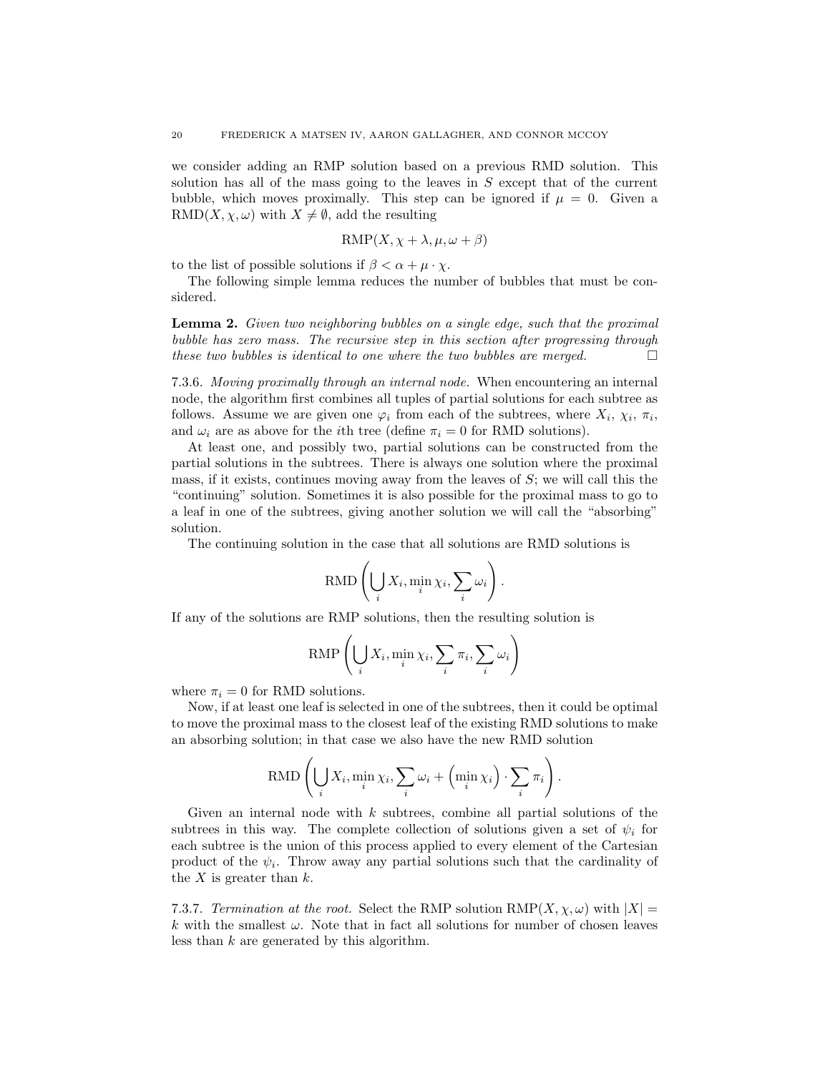we consider adding an RMP solution based on a previous RMD solution. This solution has all of the mass going to the leaves in S except that of the current bubble, which moves proximally. This step can be ignored if  $\mu = 0$ . Given a  $RMD(X, \chi, \omega)$  with  $X \neq \emptyset$ , add the resulting

$$
RMP(X, \chi + \lambda, \mu, \omega + \beta)
$$

to the list of possible solutions if  $\beta < \alpha + \mu \cdot \chi$ .

The following simple lemma reduces the number of bubbles that must be considered.

**Lemma 2.** Given two neighboring bubbles on a single edge, such that the proximal bubble has zero mass. The recursive step in this section after progressing through these two bubbles is identical to one where the two bubbles are merged.  $\Box$ 

7.3.6. Moving proximally through an internal node. When encountering an internal node, the algorithm first combines all tuples of partial solutions for each subtree as follows. Assume we are given one  $\varphi_i$  from each of the subtrees, where  $X_i$ ,  $\chi_i$ ,  $\pi_i$ , and  $\omega_i$  are as above for the *i*th tree (define  $\pi_i = 0$  for RMD solutions).

At least one, and possibly two, partial solutions can be constructed from the partial solutions in the subtrees. There is always one solution where the proximal mass, if it exists, continues moving away from the leaves of  $S$ ; we will call this the "continuing" solution. Sometimes it is also possible for the proximal mass to go to a leaf in one of the subtrees, giving another solution we will call the "absorbing" solution.

The continuing solution in the case that all solutions are RMD solutions is

$$
\operatorname{RMD}\left(\bigcup_i X_i, \min_i \chi_i, \sum_i \omega_i\right).
$$

If any of the solutions are RMP solutions, then the resulting solution is

$$
\text{RMP}\left(\bigcup_i X_i, \min_i \chi_i, \sum_i \pi_i, \sum_i \omega_i\right)
$$

where  $\pi_i = 0$  for RMD solutions.

Now, if at least one leaf is selected in one of the subtrees, then it could be optimal to move the proximal mass to the closest leaf of the existing RMD solutions to make an absorbing solution; in that case we also have the new RMD solution

$$
\text{RMD}\left(\bigcup_{i} X_i, \min_{i} \chi_i, \sum_{i} \omega_i + \left(\min_{i} \chi_i\right) \cdot \sum_{i} \pi_i\right)
$$

.

Given an internal node with  $k$  subtrees, combine all partial solutions of the subtrees in this way. The complete collection of solutions given a set of  $\psi_i$  for each subtree is the union of this process applied to every element of the Cartesian product of the  $\psi_i$ . Throw away any partial solutions such that the cardinality of the  $X$  is greater than  $k$ .

7.3.7. Termination at the root. Select the RMP solution  $RMP(X, \chi, \omega)$  with  $|X| =$ k with the smallest  $\omega$ . Note that in fact all solutions for number of chosen leaves less than k are generated by this algorithm.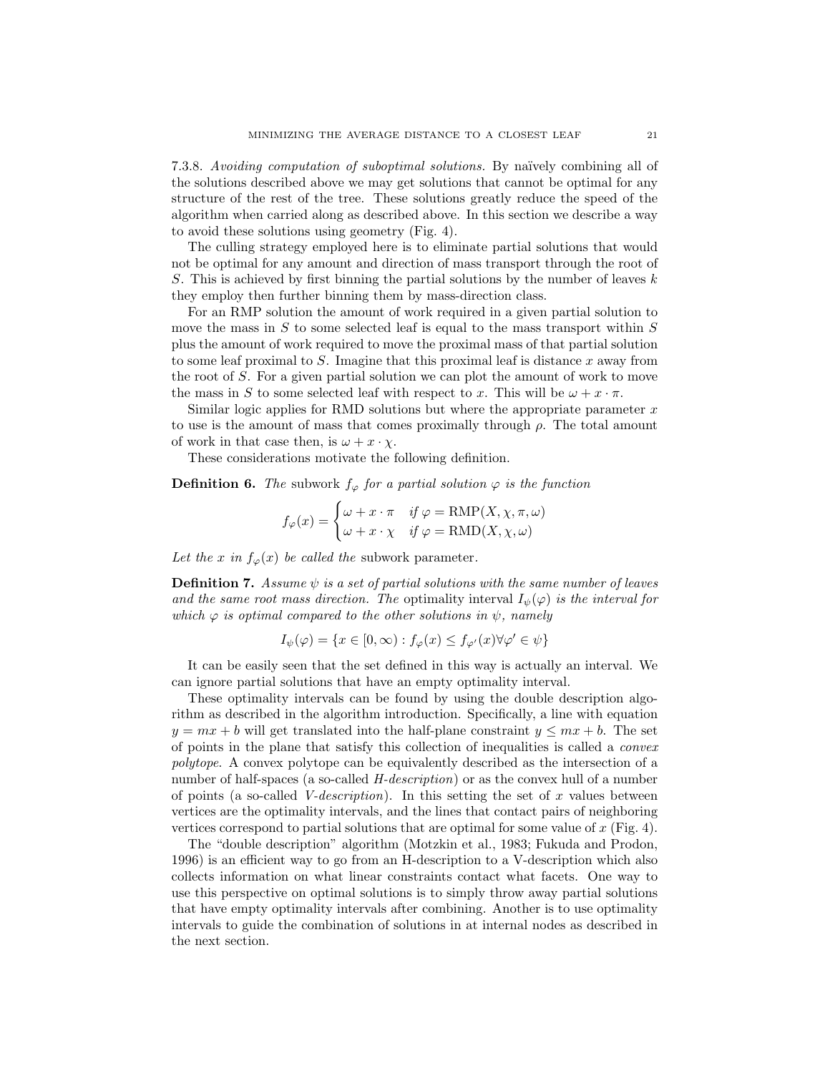7.3.8. Avoiding computation of suboptimal solutions. By naïvely combining all of the solutions described above we may get solutions that cannot be optimal for any structure of the rest of the tree. These solutions greatly reduce the speed of the algorithm when carried along as described above. In this section we describe a way to avoid these solutions using geometry (Fig. 4).

The culling strategy employed here is to eliminate partial solutions that would not be optimal for any amount and direction of mass transport through the root of S. This is achieved by first binning the partial solutions by the number of leaves  $k$ they employ then further binning them by mass-direction class.

For an RMP solution the amount of work required in a given partial solution to move the mass in  $S$  to some selected leaf is equal to the mass transport within  $S$ plus the amount of work required to move the proximal mass of that partial solution to some leaf proximal to S. Imagine that this proximal leaf is distance x away from the root of S. For a given partial solution we can plot the amount of work to move the mass in S to some selected leaf with respect to x. This will be  $\omega + x \cdot \pi$ .

Similar logic applies for RMD solutions but where the appropriate parameter  $x$ to use is the amount of mass that comes proximally through  $\rho$ . The total amount of work in that case then, is  $\omega + x \cdot \chi$ .

These considerations motivate the following definition.

**Definition 6.** The subwork  $f_{\varphi}$  for a partial solution  $\varphi$  is the function

$$
f_{\varphi}(x) = \begin{cases} \omega + x \cdot \pi & \text{if } \varphi = \text{RMP}(X, \chi, \pi, \omega) \\ \omega + x \cdot \chi & \text{if } \varphi = \text{RMD}(X, \chi, \omega) \end{cases}
$$

Let the x in  $f_{\varphi}(x)$  be called the subwork parameter.

**Definition 7.** Assume  $\psi$  is a set of partial solutions with the same number of leaves and the same root mass direction. The optimality interval  $I_{\psi}(\varphi)$  is the interval for which  $\varphi$  is optimal compared to the other solutions in  $\psi$ , namely

$$
I_{\psi}(\varphi) = \{ x \in [0, \infty) : f_{\varphi}(x) \le f_{\varphi'}(x) \forall \varphi' \in \psi \}
$$

It can be easily seen that the set defined in this way is actually an interval. We can ignore partial solutions that have an empty optimality interval.

These optimality intervals can be found by using the double description algorithm as described in the algorithm introduction. Specifically, a line with equation  $y = mx + b$  will get translated into the half-plane constraint  $y \leq mx + b$ . The set of points in the plane that satisfy this collection of inequalities is called a convex polytope. A convex polytope can be equivalently described as the intersection of a number of half-spaces (a so-called *H-description*) or as the convex hull of a number of points (a so-called V-description). In this setting the set of  $x$  values between vertices are the optimality intervals, and the lines that contact pairs of neighboring vertices correspond to partial solutions that are optimal for some value of  $x$  (Fig. 4).

The "double description" algorithm (Motzkin et al., 1983; Fukuda and Prodon, 1996) is an efficient way to go from an H-description to a V-description which also collects information on what linear constraints contact what facets. One way to use this perspective on optimal solutions is to simply throw away partial solutions that have empty optimality intervals after combining. Another is to use optimality intervals to guide the combination of solutions in at internal nodes as described in the next section.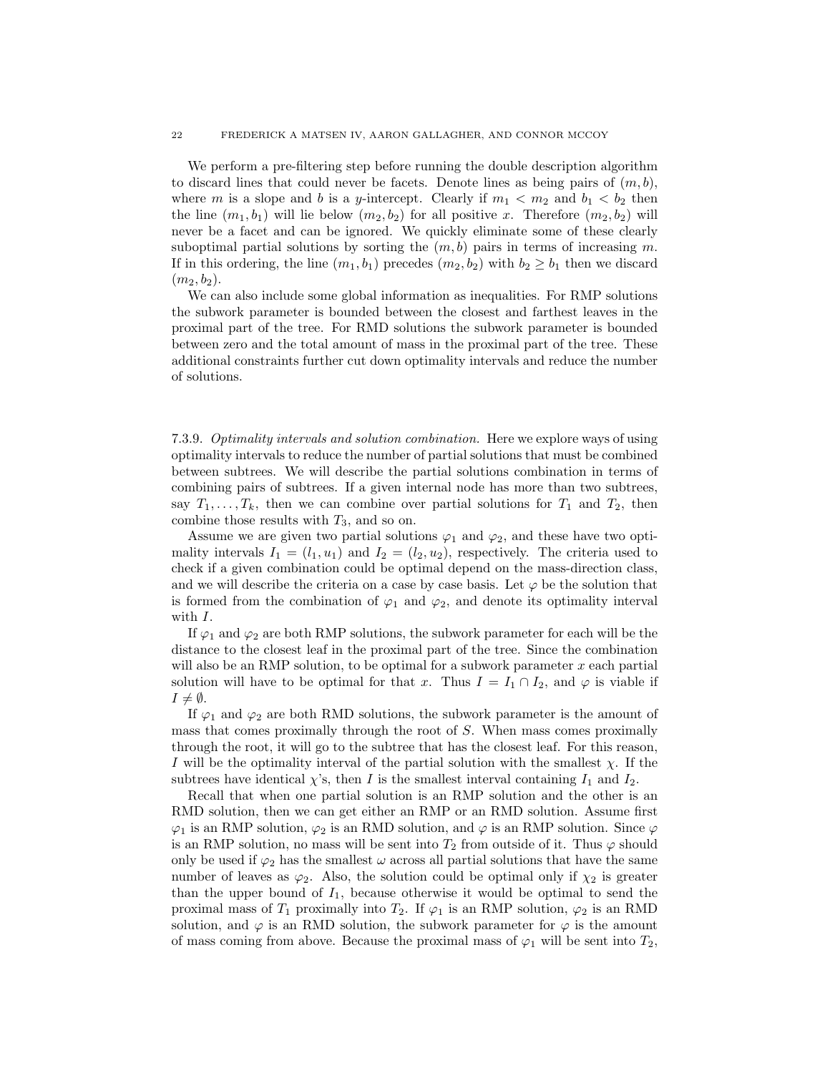We perform a pre-filtering step before running the double description algorithm to discard lines that could never be facets. Denote lines as being pairs of  $(m, b)$ , where m is a slope and b is a y-intercept. Clearly if  $m_1 < m_2$  and  $b_1 < b_2$  then the line  $(m_1, b_1)$  will lie below  $(m_2, b_2)$  for all positive x. Therefore  $(m_2, b_2)$  will never be a facet and can be ignored. We quickly eliminate some of these clearly suboptimal partial solutions by sorting the  $(m, b)$  pairs in terms of increasing m. If in this ordering, the line  $(m_1, b_1)$  precedes  $(m_2, b_2)$  with  $b_2 \geq b_1$  then we discard  $(m_2, b_2).$ 

We can also include some global information as inequalities. For RMP solutions the subwork parameter is bounded between the closest and farthest leaves in the proximal part of the tree. For RMD solutions the subwork parameter is bounded between zero and the total amount of mass in the proximal part of the tree. These additional constraints further cut down optimality intervals and reduce the number of solutions.

7.3.9. Optimality intervals and solution combination. Here we explore ways of using optimality intervals to reduce the number of partial solutions that must be combined between subtrees. We will describe the partial solutions combination in terms of combining pairs of subtrees. If a given internal node has more than two subtrees, say  $T_1, \ldots, T_k$ , then we can combine over partial solutions for  $T_1$  and  $T_2$ , then combine those results with  $T_3$ , and so on.

Assume we are given two partial solutions  $\varphi_1$  and  $\varphi_2$ , and these have two optimality intervals  $I_1 = (l_1, u_1)$  and  $I_2 = (l_2, u_2)$ , respectively. The criteria used to check if a given combination could be optimal depend on the mass-direction class, and we will describe the criteria on a case by case basis. Let  $\varphi$  be the solution that is formed from the combination of  $\varphi_1$  and  $\varphi_2$ , and denote its optimality interval with  $I$ .

If  $\varphi_1$  and  $\varphi_2$  are both RMP solutions, the subwork parameter for each will be the distance to the closest leaf in the proximal part of the tree. Since the combination will also be an RMP solution, to be optimal for a subwork parameter  $x$  each partial solution will have to be optimal for that x. Thus  $I = I_1 \cap I_2$ , and  $\varphi$  is viable if  $I \neq \emptyset$ .

If  $\varphi_1$  and  $\varphi_2$  are both RMD solutions, the subwork parameter is the amount of mass that comes proximally through the root of S. When mass comes proximally through the root, it will go to the subtree that has the closest leaf. For this reason, I will be the optimality interval of the partial solution with the smallest  $\chi$ . If the subtrees have identical  $\chi$ 's, then I is the smallest interval containing  $I_1$  and  $I_2$ .

Recall that when one partial solution is an RMP solution and the other is an RMD solution, then we can get either an RMP or an RMD solution. Assume first  $\varphi_1$  is an RMP solution,  $\varphi_2$  is an RMD solution, and  $\varphi$  is an RMP solution. Since  $\varphi$ is an RMP solution, no mass will be sent into  $T_2$  from outside of it. Thus  $\varphi$  should only be used if  $\varphi_2$  has the smallest  $\omega$  across all partial solutions that have the same number of leaves as  $\varphi_2$ . Also, the solution could be optimal only if  $\chi_2$  is greater than the upper bound of  $I_1$ , because otherwise it would be optimal to send the proximal mass of  $T_1$  proximally into  $T_2$ . If  $\varphi_1$  is an RMP solution,  $\varphi_2$  is an RMD solution, and  $\varphi$  is an RMD solution, the subwork parameter for  $\varphi$  is the amount of mass coming from above. Because the proximal mass of  $\varphi_1$  will be sent into  $T_2$ ,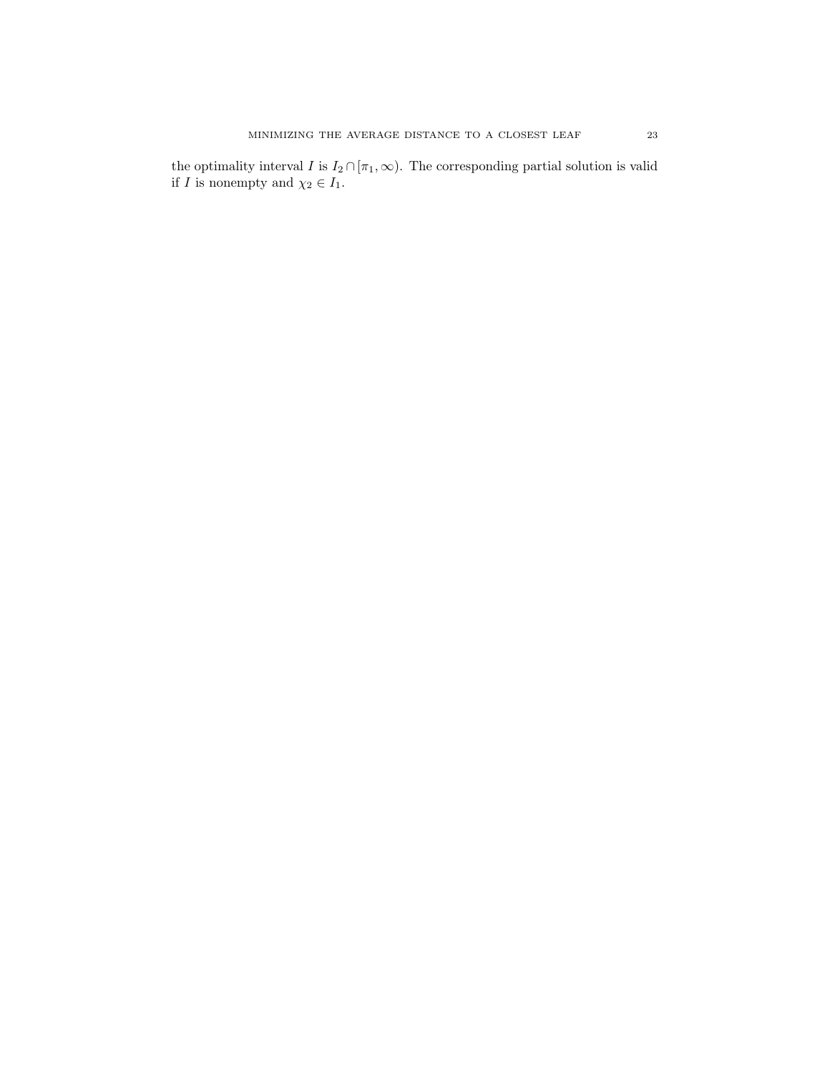the optimality interval I is  $I_2 \cap [\pi_1, \infty)$ . The corresponding partial solution is valid if I is nonempty and  $\chi_2 \in I_1$ .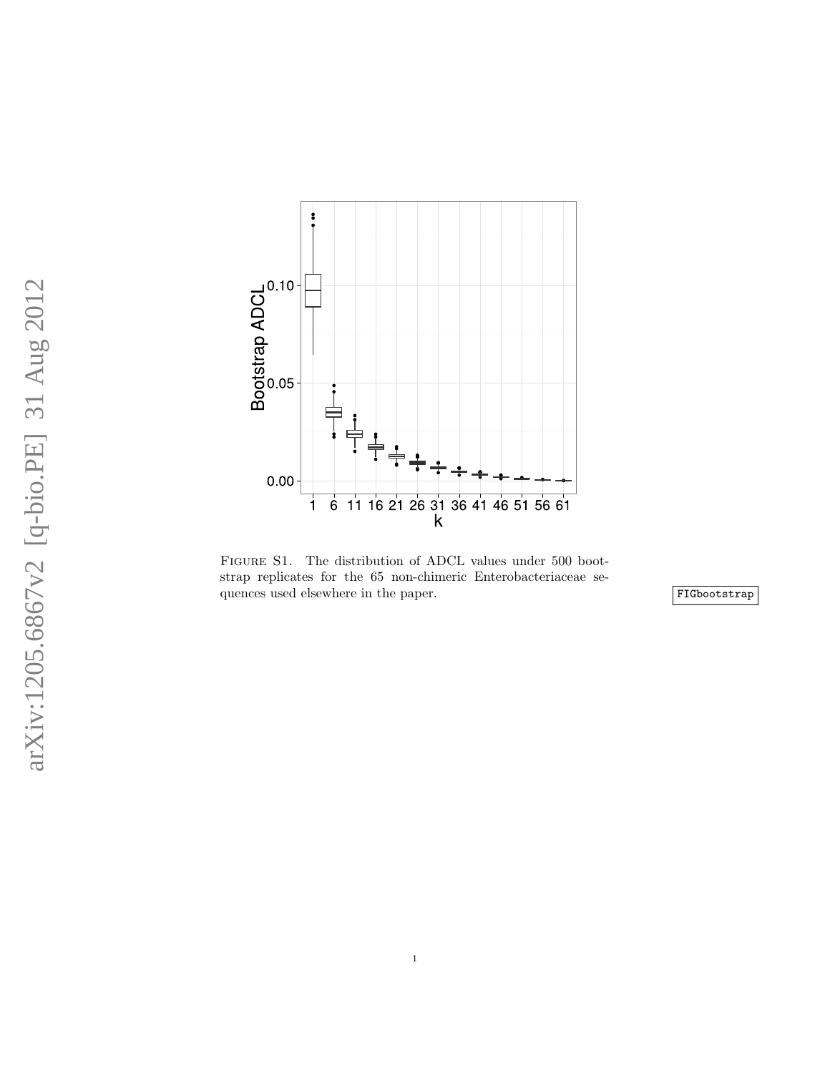

Figure S1. The distribution of ADCL values under 500 bootstrap replicates for the 65 non-chimeric Enterobacteriaceae sequences used elsewhere in the paper.  $\sqrt{\frac{FIGbootstrap}{P1G}$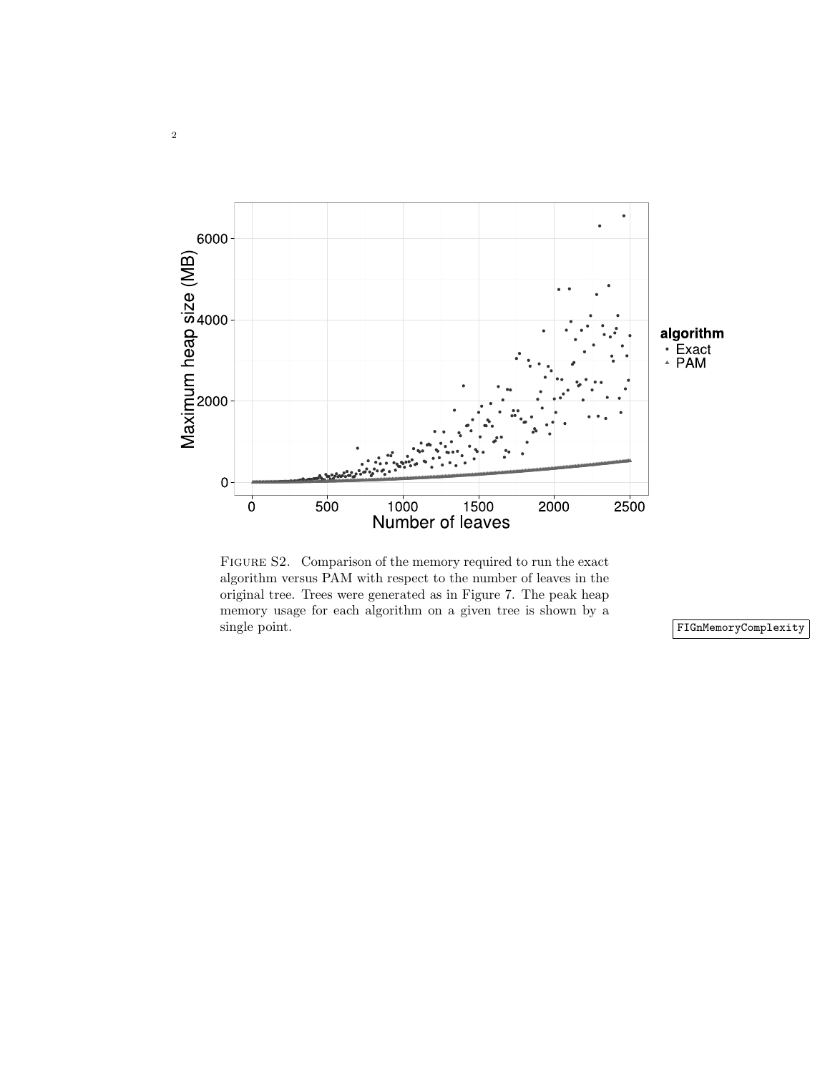

FIGURE S2. Comparison of the memory required to run the exact algorithm versus PAM with respect to the number of leaves in the original tree. Trees were generated as in Figure 7. The peak heap memory usage for each algorithm on a given tree is shown by a single point. The point of the state of the state of the state of the state of the state of the state of the state of the state of the state of the state of the state of the state of the state of the state of the state of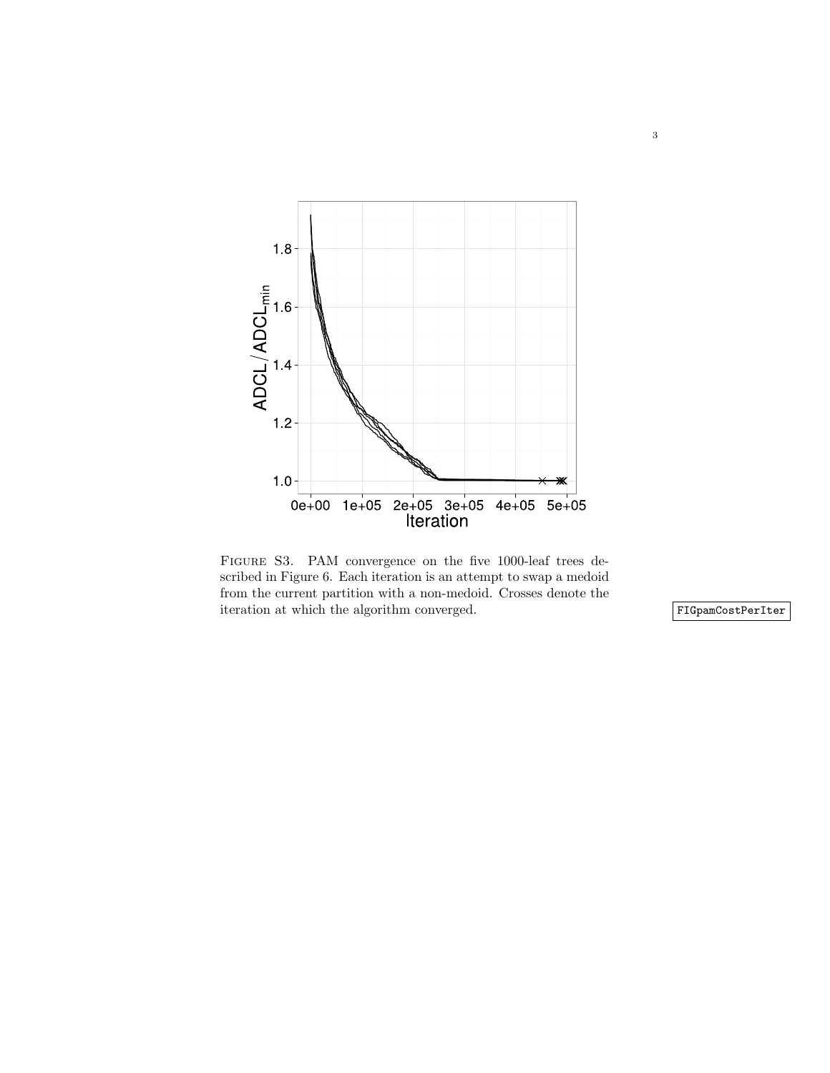

FIGURE S3. PAM convergence on the five 1000-leaf trees described in Figure 6. Each iteration is an attempt to swap a medoid from the current partition with a non-medoid. Crosses denote the iteration at which the algorithm converged. The state of  $\Box$